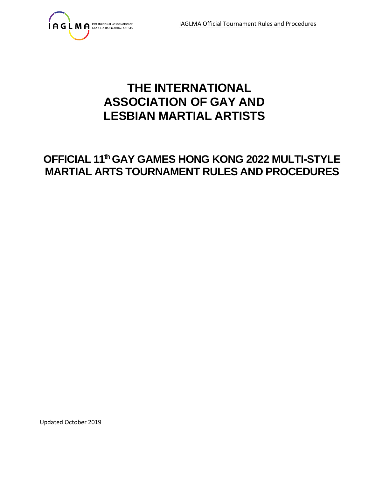

# **THE INTERNATIONAL ASSOCIATION OF GAY AND LESBIAN MARTIAL ARTISTS**

# **OFFICIAL 11th GAY GAMES HONG KONG 2022 MULTI-STYLE MARTIAL ARTS TOURNAMENT RULES AND PROCEDURES**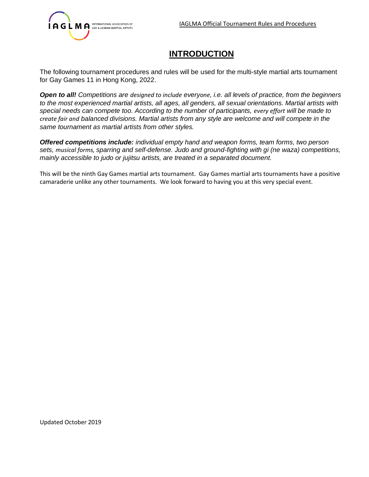

# **INTRODUCTION**

The following tournament procedures and rules will be used for the multi-style martial arts tournament for Gay Games 11 in Hong Kong, 2022.

*Open to all! Competitions are designed to include everyone, i.e. all levels of practice, from the beginners to the most experienced martial artists, all ages, all genders, all sexual orientations. Martial artists with special needs can compete too. According to the number of participants, every effort will be made to create fair and balanced divisions. Martial artists from any style are welcome and will compete in the same tournament as martial artists from other styles.* 

*Offered competitions include: individual empty hand and weapon forms, team forms, two person sets, musical forms, sparring and self-defense. Judo and ground-fighting with gi (ne waza) competitions, mainly accessible to judo or jujitsu artists, are treated in a separated document.* 

This will be the ninth Gay Games martial arts tournament. Gay Games martial arts tournaments have a positive camaraderie unlike any other tournaments. We look forward to having you at this very special event.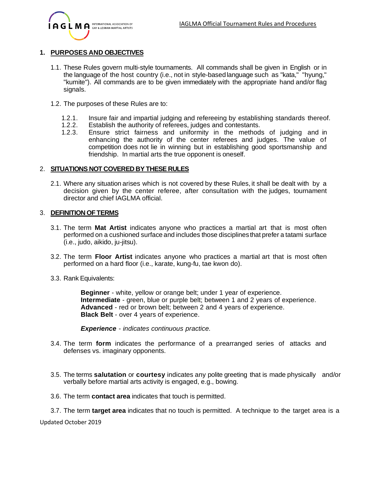

# **1. PURPOSES AND OBJECTIVES**

- 1.1. These Rules govern multi-style tournaments. All commands shall be given in English or in the language of the host country (i.e., not in style-basedlanguage such as "kata," "hyung," "kumite"). All commands are to be given immediately with the appropriate hand and/or flag signals.
- 1.2. The purposes of these Rules are to:
	- 1.2.1. Insure fair and impartial judging and refereeing by establishing standards thereof.
	- 1.2.2. Establish the authority of referees, judges and contestants.
	- 1.2.3. Ensure strict fairness and uniformity in the methods of judging and in enhancing the authority of the center referees and judges. The value of competition does not lie in winning but in establishing good sportsmanship and friendship. In martial arts the true opponent is oneself.

#### 2. **SITUATIONS NOT COVERED BY THESE RULES**

2.1. Where any situation arises which is not covered by these Rules, it shall be dealt with by a decision given by the center referee, after consultation with the judges, tournament director and chief IAGLMA official.

#### 3. **DEFINITION OF TERMS**

- 3.1. The term **Mat Artist** indicates anyone who practices a martial art that is most often performed on a cushioned surface and includes those disciplinesthat prefer a tatami surface (i.e., judo, aikido, ju-jitsu).
- 3.2. The term **Floor Artist** indicates anyone who practices a martial art that is most often performed on a hard floor (i.e., karate, kung-fu, tae kwon do).
- 3.3. Rank Equivalents:

**Beginner** - white, yellow or orange belt; under 1 year of experience. **Intermediate** - green, blue or purple belt; between 1 and 2 years of experience. **Advanced** - red or brown belt; between 2 and 4 years of experience. **Black Belt** - over 4 years of experience.

*Experience - indicates continuous practice.*

- 3.4. The term **form** indicates the performance of a prearranged series of attacks and defenses vs. imaginary opponents.
- 3.5. The terms **salutation** or **courtesy** indicates any polite greeting that is made physically and/or verbally before martial arts activity is engaged, e.g., bowing.
- 3.6. The term **contact area** indicates that touch is permitted.
- 3.7. The term **target area** indicates that no touch is permitted. A technique to the target area is a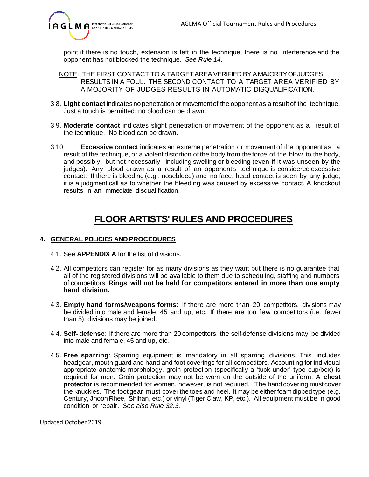

point if there is no touch, extension is left in the technique, there is no interference and the opponent has not blocked the technique. *See Rule 14.*

- NOTE: THE FIRST CONTACT TO A TARGETAREAVERIFIED BY A MAJORITY OF JUDGES RESULTS IN A FOUL. THE SECOND CONTACT TO A TARGET AREA VERIFIED BY A MOJORITY OF JUDGES RESULTS IN AUTOMATIC DISQUALIFICATION.
- 3.8. **Light contact** indicates no penetration or movementof the opponent as a result of the technique. Just a touch is permitted; no blood can be drawn.
- 3.9. **Moderate contact** indicates slight penetration or movement of the opponent as a result of the technique. No blood can be drawn.
- 3.10. **Excessive contact** indicates an extreme penetration or movement of the opponent as a result of the technique, or a violent distortion of the body from the force of the blow to the body, and possibly - but not necessarily - including swelling or bleeding (even if it was unseen by the judges). Any blood drawn as a result of an opponent's technique is considered excessive contact. If there is bleeding (e.g., nosebleed) and no face, head contact is seen by any judge, it is a judgment call as to whether the bleeding was caused by excessive contact. A knockout results in an immediate disqualification.

# **FLOOR ARTISTS' RULES AND PROCEDURES**

# **4. GENERAL POLICIES AND PROCEDURES**

- 4.1. See **APPENDIX A** for the list of divisions.
- 4.2. All competitors can register for as many divisions as they want but there is no guarantee that all of the registered divisions will be available to them due to scheduling, staffing and numbers of competitors. **Rings will not be held for competitors entered in more than one empty hand division.**
- 4.3. **Empty hand forms/weapons forms**: If there are more than 20 competitors, divisions may be divided into male and female, 45 and up, etc. If there are too few competitors (i.e., fewer than 5), divisions may be joined.
- 4.4. **Self- defense**: If there are more than 20 competitors, the self-defense divisions may be divided into male and female, 45 and up, etc.
- 4.5. **Free sparring**: Sparring equipment is mandatory in all sparring divisions. This includes headgear, mouth guard and hand and foot coverings for all competitors. Accounting for individual appropriate anatomic morphology, groin protection (specifically a 'tuck under' type cup/box) is required for men. Groin protection may not be worn on the outside of the uniform. A **chest protector** is recommended for women, however, is not required. The hand covering must cover the knuckles. The foot gear must cover the toes and heel. Itmay be either foam dipped type (e.g. Century, Jhoon Rhee, Shihan, etc.) or vinyl (Tiger Claw, KP, etc.). All equipment must be in good condition or repair. *See also Rule 32.3.*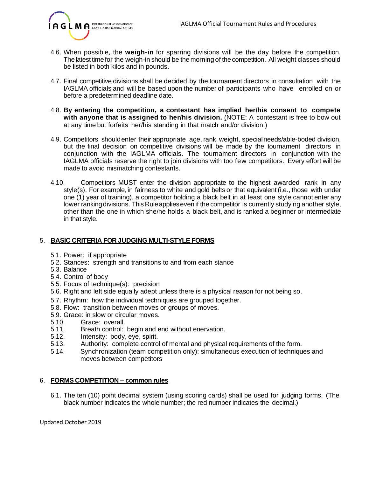

- 4.6. When possible, the **weigh-in** for sparring divisions will be the day before the competition. Thelatest timefor the weigh-in should be the morning of the competition. All weight classes should be listed in both kilos and in pounds.
- 4.7. Final competitive divisions shall be decided by the tournament directors in consultation with the IAGLMA officials and will be based upon the number of participants who have enrolled on or before a predetermined deadline date.
- 4.8. **By entering the competition, a contestant has implied her/his consent to compete with anyone that is assigned to her/his division.** (NOTE: A contestant is free to bow out at any time but forfeits her/his standing in that match and/or division.)
- 4.9. Competitors shouldenter their appropriate age, rank, weight, special needs/able-boded division, but the final decision on competitive divisions will be made by the tournament directors in conjunction with the IAGLMA officials. The tournament directors in conjunction with the IAGLMA officials reserve the right to join divisions with too few competitors. Every effort will be made to avoid mismatching contestants.
- 4.10. Competitors MUST enter the division appropriate to the highest awarded rank in any style(s). For example, in fairness to white and gold belts or that equivalent (i.e., those with under one (1) year of training), a competitor holding a black belt in at least one style cannot enter any lower rankingdivisions. This Ruleapplieseven if the competitor is currently studying another style, other than the one in which she/he holds a black belt, and is ranked a beginner or intermediate in that style.

# 5. **BASIC CRITERIA FOR JUDGING MULTI-STYLE FORMS**

- 5.1. Power: if appropriate
- 5.2. Stances: strength and transitions to and from each stance
- 5.3. Balance
- 5.4. Control of body
- 5.5. Focus of technique(s): precision
- 5.6. Right and left side equally adept unless there is a physical reason for not being so.
- 5.7. Rhythm: how the individual techniques are grouped together.
- 5.8. Flow: transition between moves or groups of moves.
- 5.9. Grace: in slow or circular moves.
- 5.10. Grace: overall.
- 5.11. Breath control: begin and end without enervation.
- 5.12. Intensity: body, eye, spirit.
- 5.13. Authority: complete control of mental and physical requirements of the form.
- 5.14. Synchronization (team competition only): simultaneous execution of techniques and moves between competitors

# 6. **FORMS COMPETITION – common rules**

6.1. The ten (10) point decimal system (using scoring cards) shall be used for judging forms. (The black number indicates the whole number; the red number indicates the decimal.)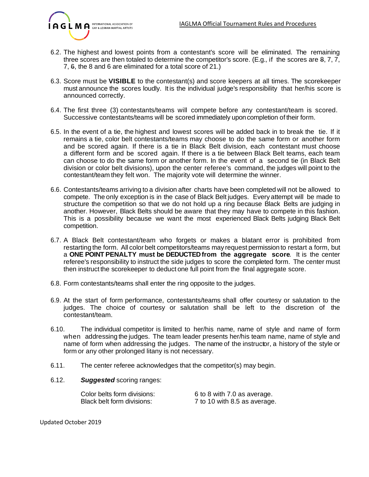

- 6.2. The highest and lowest points from a contestant's score will be eliminated. The remaining three scores are then totaled to determine the competitor's score. (E.g., if the scores are 8, 7, 7, 7, 6, the 8 and 6 are eliminated for a total score of 21.)
- 6.3. Score must be **VISIBLE** to the contestant(s) and score keepers at all times. The scorekeeper must announce the scores loudly. It is the individual judge's responsibility that her/his score is announced correctly.
- 6.4. The first three (3) contestants/teams will compete before any contestant/team is scored. Successive contestants/teams will be scored immediately uponcompletion of their form.
- 6.5. In the event of a tie, the highest and lowest scores will be added back in to break the tie. If it remains a tie, color belt contestants/teams may choose to do the same form or another form and be scored again. If there is a tie in Black Belt division, each contestant must choose a different form and be scored again. If there is a tie between Black Belt teams, each team can choose to do the same form or another form. In the event of a second tie (in Black Belt division or color belt divisions), upon the center referee's command, the judges will point to the contestant/team they felt won. The majority vote will determine the winner.
- 6.6. Contestants/teams arriving to a division after charts have been completed will not be allowed to compete. The only exception is in the case of Black Belt judges. Every attempt will be made to structure the competition so that we do not hold up a ring because Black Belts are judging in another. However, Black Belts should be aware that they may have to compete in this fashion. This is a possibility because we want the most experienced Black Belts judging Black Belt competition.
- 6.7. A Black Belt contestant/team who forgets or makes a blatant error is prohibited from restarting the form. All color belt competitors/teams may request permission to restart a form, but a **ONE POINT PENALTY must be DEDUCTEDfrom the aggregate score**. It is the center referee's responsibility to instruct the side judges to score the completed form. The center must then instruct the scorekeeper to deduct one full point from the final aggregate score.
- 6.8. Form contestants/teams shall enter the ring opposite to the judges.
- 6.9. At the start of form performance, contestants/teams shall offer courtesy or salutation to the judges. The choice of courtesy or salutation shall be left to the discretion of the contestant/team.
- 6.10. The individual competitor is limited to her/his name, name of style and name of form when addressing the judges. The team leader presents her/his team name, name of style and name of form when addressing the judges. The name of the instructor, a history of the style or form or any other prolonged litany is not necessary.
- 6.11. The center referee acknowledges that the competitor(s) may begin.
- 6.12. *Suggested* scoring ranges:

| Color belts form divisions: | 6 to 8 with 7.0 as average.  |
|-----------------------------|------------------------------|
| Black belt form divisions:  | 7 to 10 with 8.5 as average. |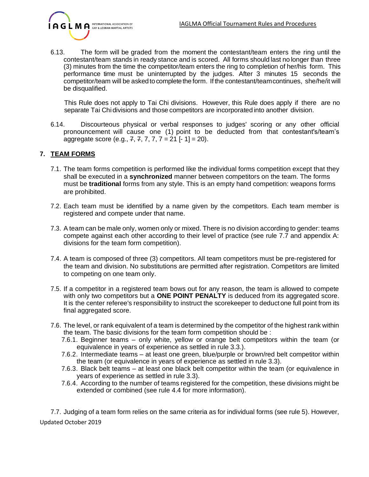

6.13. The form will be graded from the moment the contestant/team enters the ring until the contestant/team stands in ready stance and is scored. All forms should last no longer than three (3) minutes from the time the competitor/team enters the ring to completion of her/his form. This performance time must be uninterrupted by the judges. After 3 minutes 15 seconds the competitor/team will be asked to complete the form. If the contestant/team continues, she/he/it will be disqualified.

This Rule does not apply to Tai Chi divisions. However, this Rule does apply if there are no separate Tai Chi divisions and those competitors are incorporated into another division.

6.14. Discourteous physical or verbal responses to judges' scoring or any other official pronouncement will cause one (1) point to be deducted from that contestant's/team's aggregate score (e.g.,  $7, 7, 7, 7 = 21$  [-1] = 20).

# **7. TEAM FORMS**

- 7.1. The team forms competition is performed like the individual forms competition except that they shall be executed in a **synchronized** manner between competitors on the team. The forms must be **traditional** forms from any style. This is an empty hand competition: weapons forms are prohibited.
- 7.2. Each team must be identified by a name given by the competitors. Each team member is registered and compete under that name.
- 7.3. A team can be male only, women only or mixed. There is no division according to gender: teams compete against each other according to their level of practice (see rule 7.7 and appendix A: divisions for the team form competition).
- 7.4. A team is composed of three (3) competitors. All team competitors must be pre-registered for the team and division. No substitutions are permitted after registration. Competitors are limited to competing on one team only.
- 7.5. If a competitor in a registered team bows out for any reason, the team is allowed to compete with only two competitors but a **ONE POINT PENALTY** is deduced from its aggregated score. It is the center referee's responsibility to instruct the scorekeeper to deductone full point from its final aggregated score.
- 7.6. The level, or rank equivalent of a team is determined by the competitor of the highest rank within the team. The basic divisions for the team form competition should be :
	- 7.6.1. Beginner teams only white, yellow or orange belt competitors within the team (or equivalence in years of experience as settled in rule 3.3.).
	- 7.6.2. Intermediate teams at least one green, blue/purple or brown/red belt competitor within the team (or equivalence in years of experience as settled in rule 3.3).
	- 7.6.3. Black belt teams at least one black belt competitor within the team (or equivalence in years of experience as settled in rule 3.3).
	- 7.6.4. According to the number of teams registered for the competition, these divisions might be extended or combined (see rule 4.4 for more information).

Updated October 2019 7.7. Judging of a team form relies on the same criteria as for individual forms (see rule 5). However,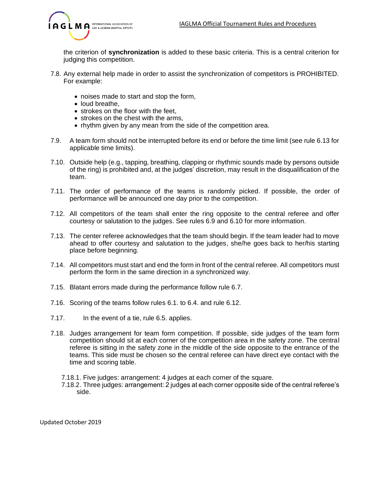

the criterion of **synchronization** is added to these basic criteria. This is a central criterion for judging this competition.

- 7.8. Any external help made in order to assist the synchronization of competitors is PROHIBITED. For example:
	- noises made to start and stop the form,
	- loud breathe,
	- strokes on the floor with the feet,
	- strokes on the chest with the arms,
	- rhythm given by any mean from the side of the competition area.
- 7.9. A team form should not be interrupted before its end or before the time limit (see rule 6.13 for applicable time limits).
- 7.10. Outside help (e.g., tapping, breathing, clapping or rhythmic sounds made by persons outside of the ring) is prohibited and, at the judges' discretion, may result in the disqualification of the team.
- 7.11. The order of performance of the teams is randomly picked. If possible, the order of performance will be announced one day prior to the competition.
- 7.12. All competitors of the team shall enter the ring opposite to the central referee and offer courtesy or salutation to the judges. See rules 6.9 and 6.10 for more information.
- 7.13. The center referee acknowledges that the team should begin. If the team leader had to move ahead to offer courtesy and salutation to the judges, she/he goes back to her/his starting place before beginning.
- 7.14. All competitors must start and end the form in front of the central referee. All competitors must perform the form in the same direction in a synchronized way.
- 7.15. Blatant errors made during the performance follow rule 6.7.
- 7.16. Scoring of the teams follow rules 6.1. to 6.4. and rule 6.12.
- 7.17. In the event of a tie, rule 6.5. applies.
- 7.18. Judges arrangement for team form competition. If possible, side judges of the team form competition should sit at each corner of the competition area in the safety zone. The central referee is sitting in the safety zone in the middle of the side opposite to the entrance of the teams. This side must be chosen so the central referee can have direct eye contact with the time and scoring table.
	- 7.18.1. Five judges: arrangement: 4 judges at each corner of the square.
	- 7.18.2. Three judges: arrangement: 2 judges at each corner opposite side of the central referee's side.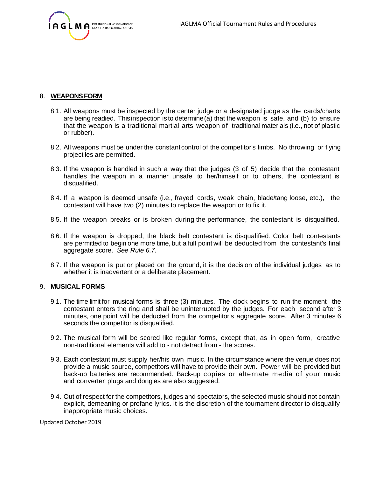

#### 8. **WEAPONSFORM**

- 8.1. All weapons must be inspected by the center judge or a designated judge as the cards/charts are being readied. Thisinspection is to determine(a) that the weapon is safe, and (b) to ensure that the weapon is a traditional martial arts weapon of traditional materials (i.e., not of plastic or rubber).
- 8.2. All weapons must be under the constantcontrol of the competitor's limbs. No throwing or flying projectiles are permitted.
- 8.3. If the weapon is handled in such a way that the judges (3 of 5) decide that the contestant handles the weapon in a manner unsafe to her/himself or to others, the contestant is disqualified.
- 8.4. If a weapon is deemed unsafe (i.e., frayed cords, weak chain, blade/tang loose, etc.), the contestant will have two (2) minutes to replace the weapon or to fix it.
- 8.5. If the weapon breaks or is broken during the performance, the contestant is disqualified.
- 8.6. If the weapon is dropped, the black belt contestant is disqualified. Color belt contestants are permitted to begin one more time, but a full point will be deducted from the contestant's final aggregate score. *See Rule 6.7.*
- 8.7. If the weapon is put or placed on the ground, it is the decision of the individual judges as to whether it is inadvertent or a deliberate placement.

#### 9. **MUSICAL FORMS**

- 9.1. The time limit for musical forms is three (3) minutes. The clock begins to run the moment the contestant enters the ring and shall be uninterrupted by the judges. For each second after 3 minutes, one point will be deducted from the competitor's aggregate score. After 3 minutes 6 seconds the competitor is disqualified.
- 9.2. The musical form will be scored like regular forms, except that, as in open form, creative non-traditional elements will add to - not detract from - the scores.
- 9.3. Each contestant must supply her/his own music. In the circumstance where the venue does not provide a music source, competitors will have to provide their own. Power will be provided but back-up batteries are recommended. Back-up copies or alternate media of your music and converter plugs and dongles are also suggested.
- 9.4. Out of respect for the competitors, judges and spectators, the selected music should not contain explicit, demeaning or profane lyrics. It is the discretion of the tournament director to disqualify inappropriate music choices.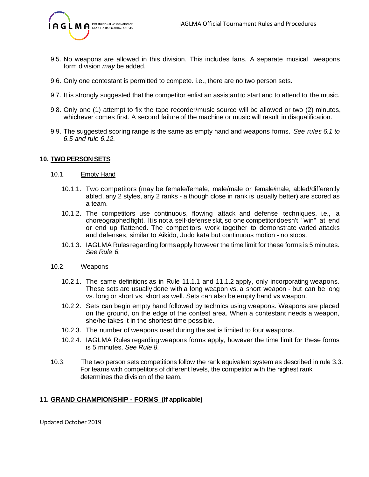

- 9.5. No weapons are allowed in this division. This includes fans. A separate musical weapons form division *may* be added.
- 9.6. Only one contestant is permitted to compete. i.e., there are no two person sets.
- 9.7. It is strongly suggested that the competitor enlist an assistantto start and to attend to the music.
- 9.8. Only one (1) attempt to fix the tape recorder/music source will be allowed or two (2) minutes, whichever comes first. A second failure of the machine or music will result in disqualification.
- 9.9. The suggested scoring range is the same as empty hand and weapons forms. *See rules 6.1 to 6.5 and rule 6.12.*

#### **10. TWO PERSON SETS**

- 10.1. Empty Hand
	- 10.1.1. Two competitors (may be female/female, male/male or female/male, abled/differently abled, any 2 styles, any 2 ranks - although close in rank is usually better) are scored as a team.
	- 10.1.2. The competitors use continuous, flowing attack and defense techniques, i.e., a choreographedfight. Itis not a self-defense skit, so one competitor doesn't "win" at end or end up flattened. The competitors work together to demonstrate varied attacks and defenses, similar to Aikido, Judo kata but continuous motion - no stops.
	- 10.1.3. IAGLMA Rulesregarding formsapply however the time limit for these forms is 5 minutes. *See Rule 6.*
- 10.2. Weapons
	- 10.2.1. The same definitions as in Rule 11.1.1 and 11.1.2 apply, only incorporating weapons. These sets are usually done with a long weapon vs. a short weapon - but can be long vs. long or short vs. short as well. Sets can also be empty hand vs weapon.
	- 10.2.2. Sets can begin empty hand followed by technics using weapons. Weapons are placed on the ground, on the edge of the contest area. When a contestant needs a weapon, she/he takes it in the shortest time possible.
	- 10.2.3. The number of weapons used during the set is limited to four weapons.
	- 10.2.4. IAGLMA Rules regarding weapons forms apply, however the time limit for these forms is 5 minutes. *See Rule 8.*
- 10.3. The two person sets competitions follow the rank equivalent system as described in rule 3.3. For teams with competitors of different levels, the competitor with the highest rank determines the division of the team.

#### **11. GRAND CHAMPIONSHIP - FORMS (If applicable)**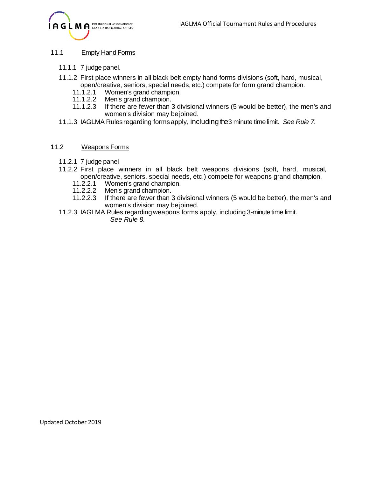

# 11.1 Empty Hand Forms

- 11.1.1 7 judge panel.
- 11.1.2 First place winners in all black belt empty hand forms divisions (soft, hard, musical, open/creative, seniors, special needs,etc.) compete for form grand champion.
	- 11.1.2.1 Women's grand champion.<br>11.1.2.2 Men's grand champion.
	- Men's grand champion.
	- 11.1.2.3 If there are fewer than 3 divisional winners (5 would be better), the men's and women's division may bejoined.
- 11.1.3 IAGLMA Rulesregarding forms apply, including the3 minute timelimit. *See Rule 7.*

#### 11.2 Weapons Forms

- 11.2.1 7 judge panel
- 11.2.2 First place winners in all black belt weapons divisions (soft, hard, musical, open/creative, seniors, special needs, etc.) compete for weapons grand champion.
	- 11.2.2.1 Women's grand champion.
	- 11.2.2.2 Men's grand champion.
	- 11.2.2.3 If there are fewer than 3 divisional winners (5 would be better), the men's and women's division may be joined.
- 11.2.3 IAGLMA Rules regardingweapons forms apply, including 3-minute time limit. *See Rule 8.*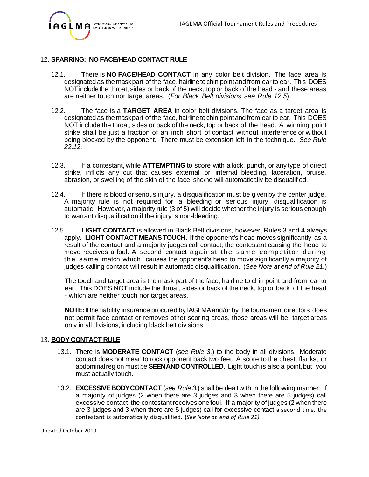

#### 12. **SPARRING: NO FACE/HEAD CONTACT RULE**

- 12.1. There is **NO FACE/HEAD CONTACT** in any color belt division. The face area is designated as the maskpart of the face, hairline to chin point and from ear to ear. This DOES NOT include the throat, sides or back of the neck, top or back of the head - and these areas are neither touch nor target areas. (*For Black Belt divisions see Rule 12.5*)
- 12.2. The face is a **TARGET AREA** in color belt divisions. The face as a target area is designated as the maskpart of the face, hairlineto chin pointand from ear to ear. This DOES NOT include the throat, sides or back of the neck, top or back of the head. A winning point strike shall be just a fraction of an inch short of contact without interference or without being blocked by the opponent. There must be extension left in the technique. *See Rule 22.12.*
- 12.3. If a contestant, while **ATTEMPTING** to score with a kick, punch, or any type of direct strike, inflicts any cut that causes external or internal bleeding, laceration, bruise, abrasion, or swelling of the skin of the face, she/he will automatically be disqualified.
- 12.4. If there is blood or serious injury, a disqualification must be given by the center judge. A majority rule is not required for a bleeding or serious injury, disqualification is automatic. However, a majority rule (3 of 5) will decide whether the injury is serious enough to warrant disqualification if the injury is non-bleeding.
- 12.5. **LIGHT CONTACT** is allowed in Black Belt divisions, however, Rules 3 and 4 always apply. **LIGHT CONTACT MEANSTOUCH.** If the opponent's head moves significantly as a result of the contact and a majority judges call contact, the contestant causing the head to move receives a foul. A second contact against the same competitor during the same match which causes the opponent's head to move significantly a majority of judges calling contact will result in automatic disqualification. (*See Note at end of Rule 21.*)

The touch and target area is the mask part of the face, hairline to chin point and from ear to ear. This DOES NOT include the throat, sides or back of the neck, top or back of the head - which are neither touch nor target areas.

**NOTE:**Ifthe liability insurance procured by IAGLMAand/or by the tournamentdirectors does not permit face contact or removes other scoring areas, those areas will be target areas only in all divisions, including black belt divisions.

#### 13. **BODY CONTACT RULE**

- 13.1. There is **MODERATE CONTACT** (*see Rule 3.*) to the body in all divisions. Moderate contact does not mean to rock opponent back two feet. A score to the chest, flanks, or abdominal region must be **SEEN AND CONTROLLED**. Light touch is also a point, but you must actually touch.
- 13.2. **EXCESSIVEBODYCONTACT** (*see Rule 3.*) shall be dealtwith in the following manner: if a majority of judges (2 when there are 3 judges and 3 when there are 5 judges) call excessive contact, the contestantreceives one foul. If a majority of judges (2 when there are 3 judges and 3 when there are 5 judges) call for excessive contact a second time, the contestant is automatically disqualified. (*See Note at end of Rule 21).*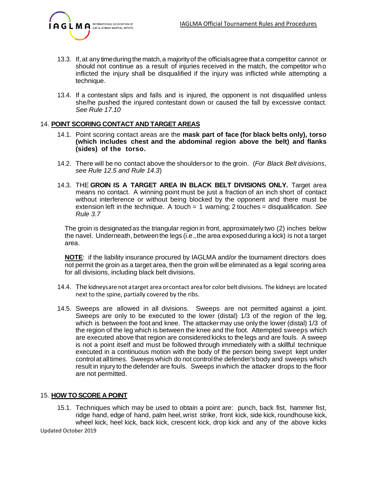

- 13.3. If, at any time during the match, a majority of the officials agree that a competitor cannot or should not continue as a result of injuries received in the match, the competitor who inflicted the injury shall be disqualified if the injury was inflicted while attempting a technique.
- 13.4. If a contestant slips and falls and is injured, the opponent is not disqualified unless she/he pushed the injured contestant down or caused the fall by excessive contact. *See Rule 17.10*

#### 14. **POINT SCORING CONTACT AND TARGET AREAS**

- 14.1. Point scoring contact areas are the **mask part of face (for black belts only), torso (which includes chest and the abdominal region above the belt) and flanks (sides) of the torso.**
- 14.2. There will be no contact above the shouldersor to the groin. (*For Black Belt divisions, see Rule 12.5 and Rule 14.3*)
- 14.3. THE **GROIN IS A TARGET AREA IN BLACK BELT DIVISIONS ONLY.** Target area means no contact. A winning point must be just a fraction of an inch short of contact without interference or without being blocked by the opponent and there must be extension left in the technique. A touch = 1 warning; 2 touches = disqualification. *See Rule 3.7*

The groin is designatedas the triangular region in front, approximately two (2) inches below the navel. Underneath, between the legs (i.e., the area exposed during a kick) is not a target area.

**NOTE**: if the liability insurance procured by IAGLMA and/or the tournament directors does not permit the groin as a target area, then the groin will be eliminated as a legal scoring area for all divisions, including black belt divisions.

- 14.4. The kidneysare not atarget area orcontact areafor color beltdivisions. The kidneys are located next to the spine, partially covered by the ribs.
- 14.5. Sweeps are allowed in all divisions. Sweeps are not permitted against a joint. Sweeps are only to be executed to the lower (distal) 1/3 of the region of the leg, which is between the foot and knee. The attacker may use only the lower (distal) 1/3 of the region of the leg which is between the knee and the foot. Attempted sweeps which are executed above that region are considered kicks to the legs and are fouls. A sweep is not a point itself and must be followed through immediately with a skillful technique executed in a continuous motion with the body of the person being swept kept under controlat alltimes. Sweeps which do not controlthe defender's body and sweeps which result in injury to the defender are fouls. Sweeps in which the attacker drops to the floor are not permitted.

#### 15. **HOW TO SCORE A POINT**

15.1. Techniques which may be used to obtain a point are: punch, back fist, hammer fist, ridge hand, edge of hand, palm heel, wrist strike, front kick, side kick, roundhouse kick, wheel kick, heel kick, back kick, crescent kick, drop kick and any of the above kicks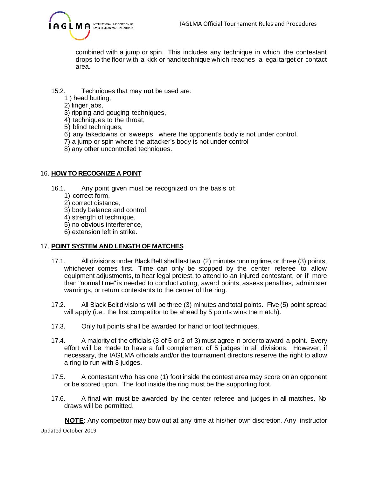

combined with a jump or spin. This includes any technique in which the contestant drops to the floor with a kick or hand technique which reaches a legal target or contact area.

# 15.2. Techniques that may **not** be used are:

- 1 ) head butting,
- 2) finger jabs,
- 3) ripping and gouging techniques,
- 4) techniques to the throat,
- 5) blind techniques,
- 6) any takedowns or sweeps where the opponent's body is not under control,
- 7) a jump or spin where the attacker's body is not under control
- 8) any other uncontrolled techniques.

# 16. **HOW TO RECOGNIZE A POINT**

- 16.1. Any point given must be recognized on the basis of:
	- 1) correct form,
	- 2) correct distance,
	- 3) body balance and control,
	- 4) strength of technique,
	- 5) no obvious interference,
	- 6) extension left in strike.

# 17. **POINT SYSTEM AND LENGTH OF MATCHES**

- 17.1. All divisions under Black Belt shall last two (2) minutes running time, or three (3) points, whichever comes first. Time can only be stopped by the center referee to allow equipment adjustments, to hear legal protest, to attend to an injured contestant, or if more than "normal time"is needed to conduct voting, award points, assess penalties, administer warnings, or return contestants to the center of the ring.
- 17.2. All Black Belt divisions will be three (3) minutes and total points. Five (5) point spread will apply (i.e., the first competitor to be ahead by 5 points wins the match).
- 17.3. Only full points shall be awarded for hand or foot techniques.
- 17.4. A majority of the officials (3 of 5 or 2 of 3) must agree in order to award a point. Every effort will be made to have a full complement of 5 judges in all divisions. However, if necessary, the IAGLMA officials and/or the tournament directors reserve the right to allow a ring to run with 3 judges.
- 17.5. A contestant who has one (1) foot inside the contest area may score on an opponent or be scored upon. The foot inside the ring must be the supporting foot.
- 17.6. A final win must be awarded by the center referee and judges in all matches. No draws will be permitted.

Updated October 2019 **NOTE**: Any competitor may bow out at any time at his/her own discretion. Any instructor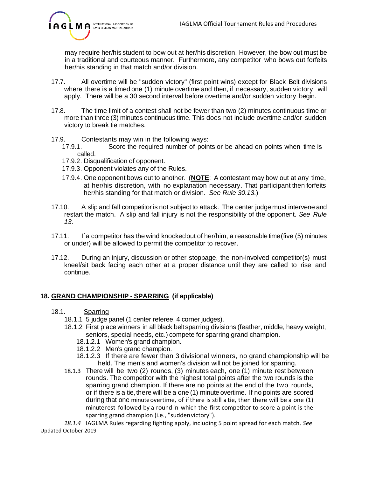

may require her/his student to bow out at her/his discretion. However, the bow out must be in a traditional and courteous manner. Furthermore, any competitor who bows out forfeits her/his standing in that match and/or division.

- 17.7. All overtime will be "sudden victory" (first point wins) except for Black Belt divisions where there is a timed one (1) minute overtime and then, if necessary, sudden victory will apply. There will be a 30 second interval before overtime and/or sudden victory begin.
- 17.8. The time limit of a contest shall not be fewer than two (2) minutes continuous time or more than three (3) minutes continuous time. This does not include overtime and/or sudden victory to break tie matches.
- 17.9. Contestants may win in the following ways:
	- 17.9.1. Score the required number of points or be ahead on points when time is called.
	- 17.9.2. Disqualification of opponent.
	- 17.9.3. Opponent violates any of the Rules.
	- 17.9.4. One opponent bows out to another. (**NOTE**: A contestant may bow out at any time, at her/his discretion, with no explanation necessary. That participant then forfeits her/his standing for that match or division. *See Rule 30.13.*)
- 17.10. A slip and fall competitor is not subject to attack. The center judge must intervene and restart the match. A slip and fall injury is not the responsibility of the opponent. *See Rule 13.*
- 17.11. Ifa competitor has the wind knockedout of her/him, a reasonable time(five (5) minutes or under) will be allowed to permit the competitor to recover.
- 17.12. During an injury, discussion or other stoppage, the non-involved competitor(s) must kneel/sit back facing each other at a proper distance until they are called to rise and continue.

# **18. GRAND CHAMPIONSHIP - SPARRING (if applicable)**

- 18.1. Sparring
	- 18.1.1 5 judge panel (1 center referee, 4 corner judges).
	- 18.1.2 First place winners in all black belt sparring divisions (feather, middle, heavy weight, seniors, special needs, etc.) compete for sparring grand champion.
		- 18.1.2.1 Women's grand champion.
		- 18.1.2.2 Men's grand champion.
		- 18.1.2.3 If there are fewer than 3 divisional winners, no grand championship will be held. The men's and women's division will not be joined for sparring.
	- 18.1.3 There will be two (2) rounds, (3) minutes each, one (1) minute rest between rounds. The competitor with the highest total points after the two rounds is the sparring grand champion. If there are no points at the end of the two rounds, or if there is a tie, there will be a one (1) minute overtime. If no points are scored during that one minuteovertime, of ifthere is still a tie, then there will be a one (1) minuterest followed by a round in which the first competitor to score a point is the sparring grand champion (i.e., "suddenvictory").

Updated October 2019 *18.1.4* IAGLMA Rules regarding fighting apply, including 5 point spread for each match. *See*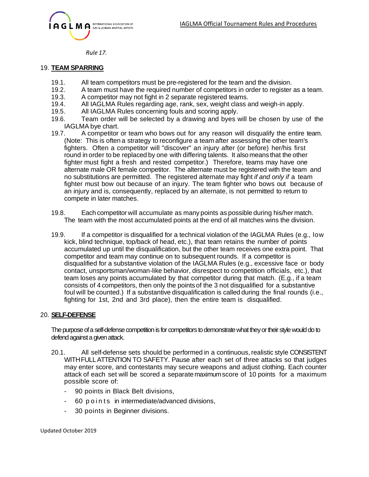

*Rule 17.*

#### 19. **TEAM SPARRING**

- 19.1. All team competitors must be pre-registered for the team and the division.
- 19.2. A team must have the required number of competitors in order to register as a team.
- 19.3. A competitor may not fight in 2 separate registered teams.
- 19.4. All IAGLMA Rules regarding age, rank, sex, weight class and weigh-in apply.
- 19.5. All IAGLMA Rules concerning fouls and scoring apply.
- 19.6. Team order will be selected by a drawing and byes will be chosen by use of the IAGLMA bye chart.<br>19.7. A competitor
- A competitor or team who bows out for any reason will disqualify the entire team. (Note: This is often a strategy to reconfigure a team after assessing the other team's fighters. Often a competitor will "discover" an injury after (or before) her/his first round in order to be replaced by one with differing talents. It also means that the other fighter must fight a fresh and rested competitor.) Therefore, teams may have one alternate male OR female competitor. The alternate must be registered with the team and no substitutions are permitted. The registered alternate may fight *if and only if* a team fighter must bow out because of an injury. The team fighter who bows out because of an injury and is, consequently, replaced by an alternate, is not permitted to return to compete in later matches.
- 19.8. Each competitor will accumulate as many points as possible during his/her match. The team with the most accumulated points at the end of all matches wins the division.
- 19.9. If a competitor is disqualified for a technical violation of the IAGLMA Rules (e.g., low kick, blind technique, top/back of head, etc.), that team retains the number of points accumulated up until the disqualification, but the other team receives one extra point. That competitor and team may continue on to subsequent rounds. If a competitor is disqualified for a substantive violation of the IAGLMA Rules (e.g., excessive face or body contact, unsportsman/woman-like behavior, disrespect to competition officials, etc.), that team loses any points accumulated by that competitor during that match. (E.g., if a team consists of 4 competitors, then only the pointsof the 3 not disqualified for a substantive foul will be counted.) If a substantive disqualification is called during the final rounds (i.e., fighting for 1st, 2nd and 3rd place), then the entire team is disqualified.

#### 20. **SELF-DEFENSE**

The purpose of a self-defense competition is for competitors to demonstrate what they or their style would do to defend against a given attack.

- 20.1. All self-defense sets should be performed in a continuous,realistic style CONSISTENT WITHFULLATTENTION TO SAFETY. Pause after each set of three attacks so that judges may enter score, and contestants may secure weapons and adjust clothing. Each counter attack of each set will be scored a separatemaximumscore of 10 points for a maximum possible score of:
	- 90 points in Black Belt divisions,
	- 60 p o ints in intermediate/advanced divisions,
	- 30 points in Beginner divisions.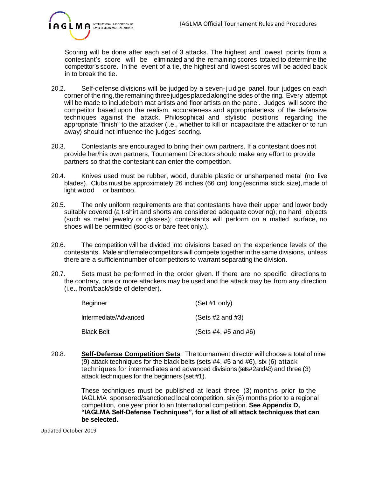

Scoring will be done after each set of 3 attacks. The highest and lowest points from a contestant's score will be eliminated and the remaining scores totaled to determine the competitor's score. In the event of a tie, the highest and lowest scores will be added back in to break the tie.

- 20.2. Self-defense divisions will be judged by a seven-jud ge panel, four judges on each corner of the ring, the remaining three judges placed along the sides of the ring. Every attempt will be made to include both mat artists and floor artists on the panel. Judges will score the competitor based upon the realism, accurateness and appropriateness of the defensive techniques against the attack. Philosophical and stylistic positions regarding the appropriate "finish" to the attacker (i.e., whether to kill or incapacitate the attacker or to run away) should not influence the judges' scoring.
- 20.3. Contestants are encouraged to bring their own partners. If a contestant does not provide her/his own partners, Tournament Directors should make any effort to provide partners so that the contestant can enter the competition.
- 20.4. Knives used must be rubber, wood, durable plastic or unsharpened metal (no live blades). Clubs must be approximately 26 inches (66 cm) long (escrima stick size),made of light wood or bamboo.
- 20.5. The only uniform requirements are that contestants have their upper and lower body suitably covered (a t-shirt and shorts are considered adequate covering); no hard objects (such as metal jewelry or glasses); contestants will perform on a matted surface, no shoes will be permitted (socks or bare feet only.).
- 20.6. The competition will be divided into divisions based on the experience levels of the contestants. Male andfemalecompetitorswill compete togetherinthe same divisions, unless there are a sufficientnumber of competitors to warrant separating the division.
- 20.7. Sets must be performed in the order given. If there are no specific directions to the contrary, one or more attackers may be used and the attack may be from any direction (i.e., front/back/side of defender).

| Beginner              | (Set #1 only)             |
|-----------------------|---------------------------|
| Intermediate/Advanced | (Sets $#2$ and $#3$ )     |
| Black Belt            | (Sets $#4, #5$ and $#6$ ) |

20.8. **Self-Defense Competition Sets**: The tournament director will choose a total of nine (9) attack techniques for the black belts (sets #4, #5 and #6), six (6) attack techniques for intermediates and advanced divisions (sets#2 and #3) and three (3) attack techniques for the beginners (set #1).

> These techniques must be published at least three (3) months prior to the IAGLMA sponsored/sanctioned local competition, six (6) months prior to a regional competition, one year prior to an International competition. **See Appendix D, "IAGLMA Self-Defense Techniques", for a list of all attack techniques that can be selected.**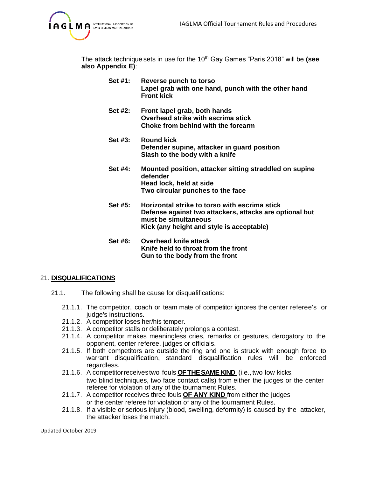

The attack technique sets in use for the 10th Gay Games "Paris 2018" will be **(see also Appendix E)**:

- **Set #1: Reverse punch to torso Lapel grab with one hand, punch with the other hand Front kick**
- **Set #2: Front lapel grab, both hands Overhead strike with escrima stick Choke from behind with the forearm**
- **Set #3: Round kick Defender supine, attacker in guard position Slash to the body with a knife**
- **Set #4: Mounted position, attacker sitting straddled on supine defender Head lock, held at side Two circular punches to the face**
- **Set #5: Horizontal strike to torso with escrima stick Defense against two attackers, attacks are optional but must be simultaneous Kick (any height and style is acceptable)**
- **Set #6: Overhead knife attack Knife held to throat from the front Gun to the body from the front**

#### 21. **DISQUALIFICATIONS**

- 21.1. The following shall be cause for disqualifications:
	- 21.1.1. The competitor, coach or team mate of competitor ignores the center referee's or judge's instructions.
	- 21.1.2. A competitor loses her/his temper.
	- 21.1.3. A competitor stalls or deliberately prolongs a contest.
	- 21.1.4. A competitor makes meaningless cries, remarks or gestures, derogatory to the opponent, center referee, judges or officials.
	- 21.1.5. If both competitors are outside the ring and one is struck with enough force to warrant disqualification, standard disqualification rules will be enforced regardless.
	- 21.1.6. A competitorreceivestwo fouls **OFTHESAME KIND** (i.e., two low kicks, two blind techniques, two face contact calls) from either the judges or the center referee for violation of any of the tournament Rules.
	- 21.1.7. A competitor receives three fouls **OF ANY KIND** from either the judges or the center referee for violation of any of the tournament Rules.
	- 21.1.8. If a visible or serious injury (blood, swelling, deformity) is caused by the attacker, the attacker loses the match.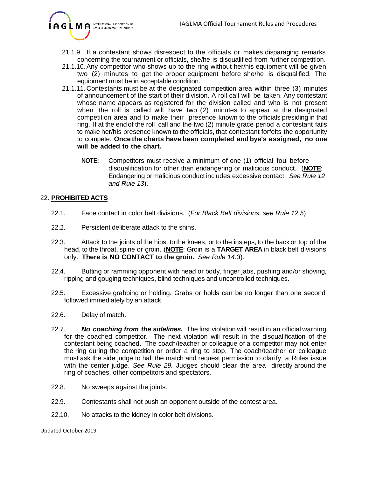

- 21.1.9. If a contestant shows disrespect to the officials or makes disparaging remarks concerning the tournament or officials, she/he is disqualified from further competition.
- 21.1.10.Any competitor who shows up to the ring without her/his equipment will be given two (2) minutes to get the proper equipment before she/he is disqualified. The equipment must be in acceptable condition.
- 21.1.11.Contestants must be at the designated competition area within three (3) minutes of announcement of the start of their division. A roll call will be taken. Any contestant whose name appears as registered for the division called and who is not present when the roll is called will have two (2) minutes to appear at the designated competition area and to make their presence known to the officials presiding in that ring. If at the end of the roll call and the two (2) minute grace period a contestant fails to make her/his presence known to the officials, that contestant forfeits the opportunity to compete. **Once the charts have been completed and bye's assigned, no one will be added to the chart.**
	- **NOTE:** Competitors must receive a minimum of one (1) official foul before disqualification for other than endangering or malicious conduct. (**NOTE**: Endangering or malicious conduct includes excessive contact. *See Rule 12 and Rule 13*).

#### 22. **PROHIBITED ACTS**

- 22.1. Face contact in color belt divisions. (*For Black Belt divisions, see Rule 12.5*)
- 22.2. Persistent deliberate attack to the shins.
- 22.3. Attack to the joints of the hips, to the knees, or to the insteps, to the back or top of the head, to the throat, spine or groin. (**NOTE**: Groin is a **TARGET AREA** in black belt divisions only. **There is NO CONTACT to the groin.** *See Rule 14.3*).
- 22.4. Butting or ramming opponent with head or body, finger jabs, pushing and/or shoving, ripping and gouging techniques, blind techniques and uncontrolled techniques.
- 22.5. Excessive grabbing or holding. Grabs or holds can be no longer than one second followed immediately by an attack.
- 22.6. Delay of match.
- 22.7. *No coaching from the sidelines.* The first violation will result in an official warning for the coached competitor. The next violation will result in the disqualification of the contestant being coached. The coach/teacher or colleague of a competitor may not enter the ring during the competition or order a ring to stop. The coach/teacher or colleague must ask the side judge to halt the match and request permission to clarify a Rules issue with the center judge. *See Rule 29.* Judges should clear the area directly around the ring of coaches, other competitors and spectators.
- 22.8. No sweeps against the joints.
- 22.9. Contestants shall not push an opponent outside of the contest area.
- 22.10. No attacks to the kidney in color belt divisions.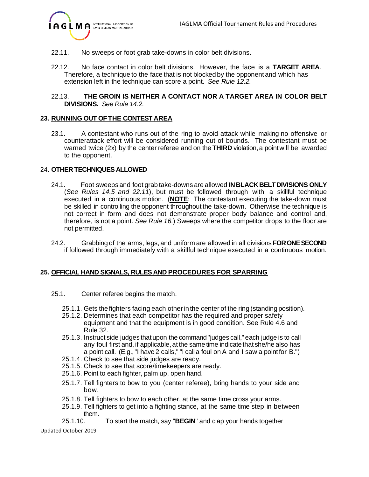

- 22.11. No sweeps or foot grab take-downs in color belt divisions.
- 22.12. No face contact in color belt divisions. However, the face is a **TARGET AREA**. Therefore, a technique to the face that is not blocked by the opponent and which has extension left in the technique can score a point. *See Rule 12.2.*
- 22.13. **THE GROIN IS NEITHER A CONTACT NOR A TARGET AREA IN COLOR BELT DIVISIONS.** *See Rule 14.2.*

#### **23. RUNNING OUT OFTHE CONTEST AREA**

23.1. A contestant who runs out of the ring to avoid attack while making no offensive or counterattack effort will be considered running out of bounds. The contestant must be warned twice (2x) by the center referee and on the **THIRD** violation, a point will be awarded to the opponent.

#### 24. **OTHERTECHNIQUES ALLOWED**

- 24.1. Foot sweeps and foot grab take-downs are allowed **INBLACKBELTDIVISIONS ONLY** (*See Rules 14.5 and 22.11*), but must be followed through with a skillful technique executed in a continuous motion. (**NOTE**: The contestant executing the take-down must be skilled in controlling the opponent throughout the take-down. Otherwise the technique is not correct in form and does not demonstrate proper body balance and control and, therefore, is not a point. *See Rule 16.*) Sweeps where the competitor drops to the floor are not permitted.
- 24.2. Grabbing of the arms, legs, and uniform are allowed in all divisions **FORONESECOND** if followed through immediately with a skillful technique executed in a continuous motion.

#### **25. OFFICIAL HAND SIGNALS, RULES AND PROCEDURES FOR SPARRING**

- 25.1. Center referee begins the match.
	- 25.1.1. Gets the fighters facing each other in the center of the ring (standing position).
	- 25.1.2. Determines that each competitor has the required and proper safety equipment and that the equipment is in good condition. See Rule 4.6 and Rule 32.
	- 25.1.3. Instruct side judges thatupon the command"judges call," each judge is to call any foul first and, if applicable, at the same time indicate that she/he also has a point call. (E.g.,"I have 2 calls," "I call a foul on A and I saw a pointfor B.")
	- 25.1.4. Check to see that side judges are ready.
	- 25.1.5. Check to see that score/timekeepers are ready.
	- 25.1.6. Point to each fighter, palm up, open hand.
	- 25.1.7. Tell fighters to bow to you (center referee), bring hands to your side and bow.
	- 25.1.8. Tell fighters to bow to each other, at the same time cross your arms.
	- 25.1.9. Tell fighters to get into a fighting stance, at the same time step in between them.

25.1.10. To start the match, say "**BEGIN**" and clap your hands together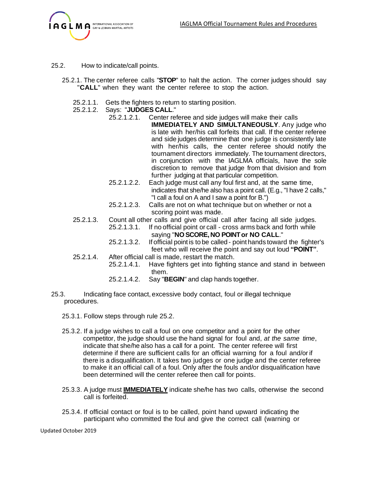

- 25.2. How to indicate/call points.
	- 25.2.1. The center referee calls "**STOP**" to halt the action. The corner judges should say "**CALL**" when they want the center referee to stop the action.
		- 25.2.1.1. Gets the fighters to return to starting position.
		- 25.2.1.2. Says: "**JUDGES CALL**."
			- 25.2.1.2.1. Center referee and side judges will make their calls **IMMEDIATELY AND SIMULTANEOUSLY**. Any judge who is late with her/his call forfeits that call. If the center referee and side judges determine that one judge is consistently late with her/his calls, the center referee should notify the tournament directors immediately. The tournament directors, in conjunction with the IAGLMA officials, have the sole discretion to remove that judge from that division and from further judging at that particular competition.
			- 25.2.1.2.2. Each judge must call any foul first and, at the same time, indicates that she/he also has a point call. (E.g., "I have 2 calls," "I call a foul on A and I saw a point for B.")
			- 25.2.1.2.3. Calls are not on what technique but on whether or not a scoring point was made.
		- 25.2.1.3. Count all other calls and give official call after facing all side judges. 25.2.1.3.1. If no official point or call - cross arms back and forth while
			- saying "**NOSCORE,NO POINTor NO CALL**."
			- 25.2.1.3.2. If official pointis to be called point hands toward the fighter's feet who will receive the point and say out loud **"POINT"**.
		- 25.2.1.4. After official call is made, restart the match.
			- 25.2.1.4.1. Have fighters get into fighting stance and stand in between them.
				- 25.2.1.4.2. Say "**BEGIN**" and clap hands together.
- 25.3. Indicating face contact, excessive body contact, foul or illegal technique procedures.
	- 25.3.1. Follow steps through rule 25.2.
	- 25.3.2. If a judge wishes to call a foul on one competitor and a point for the other competitor, the judge should use the hand signal for foul and, *at the same time*, indicate that she/he also has a call for a point. The center referee will first determine if there are sufficient calls for an official warning for a foul and/or if there is a disqualification. It takes two judges or one judge and the center referee to make it an official call of a foul. Only after the fouls and/or disqualification have been determined will the center referee then call for points.
	- 25.3.3. A judge must **IMMEDIATELY** indicate she/he has two calls, otherwise the second call is forfeited.
	- 25.3.4. If official contact or foul is to be called, point hand upward indicating the participant who committed the foul and give the correct call (warning or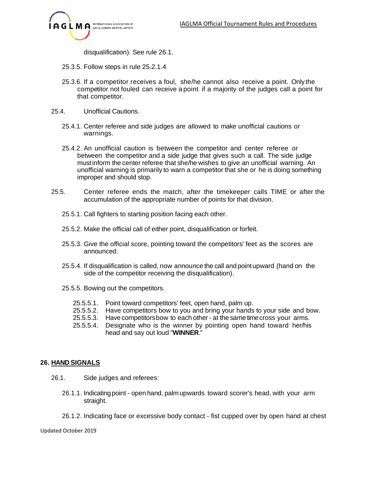

disqualification). See rule 26.1.

- 25.3.5. Follow steps in rule 25.2.1.4
- 25.3.6. If a competitor receives a foul, she/he cannot also receive a point. Only the competitor not fouled can receive a point if a majority of the judges call a point for that competitor.
- 25.4. Unofficial Cautions.
	- 25.4.1. Center referee and side judges are allowed to make unofficial cautions or warnings.
	- 25.4.2. An unofficial caution is between the competitor and center referee or between the competitor and a side judge that gives such a call. The side judge mustinform the center referee that she/he wishes to give an unofficial warning. An unofficial warning is primarily to warn a competitor that she or he is doing something improper and should stop.
- 25.5. Center referee ends the match, after the timekeeper calls TIME or after the accumulation of the appropriate number of points for that division.
	- 25.5.1. Call fighters to starting position facing each other.
	- 25.5.2. Make the official call of either point, disqualification or forfeit.
	- 25.5.3. Give the official score, pointing toward the competitors' feet as the scores are announced.
	- 25.5.4. If disqualification is called, now announce the call and pointupward (hand on the side of the competitor receiving the disqualification).
	- 25.5.5. Bowing out the competitors.
		- 25.5.5.1. Point toward competitors' feet, open hand, palm up.
		- 25.5.5.2. Have competitors bow to you and bring your hands to your side and bow.
		- 25.5.5.3. Have competitorsbow to each other at the same timecross your arms.
		- 25.5.5.4. Designate who is the winner by pointing open hand toward her/his head and say out loud "**WINNER**."

#### **26. HAND SIGNALS**

- 26.1. Side judges and referees:
	- 26.1.1. Indicatingpoint open hand, palm upwards toward scorer's head, with your arm straight.
	- 26.1.2. Indicating face or excessive body contact fist cupped over by open hand at chest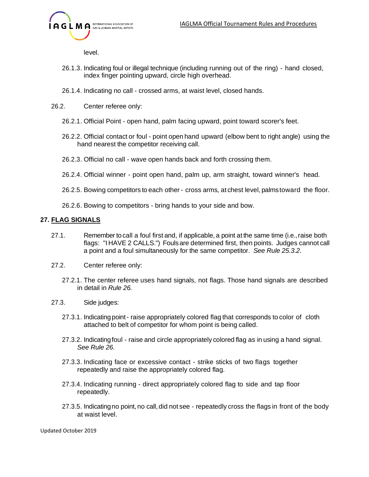

level.

- 26.1.3. Indicating foul or illegal technique (including running out of the ring) hand closed, index finger pointing upward, circle high overhead.
- 26.1.4. Indicating no call crossed arms, at waist level, closed hands.
- 26.2. Center referee only:
	- 26.2.1. Official Point open hand, palm facing upward, point toward scorer's feet.
	- 26.2.2. Official contact or foul point open hand upward (elbow bent to right angle) using the hand nearest the competitor receiving call.
	- 26.2.3. Official no call wave open hands back and forth crossing them.
	- 26.2.4. Official winner point open hand, palm up, arm straight, toward winner's head.
	- 26.2.5. Bowing competitors to each other cross arms, at chest level, palmstoward the floor.
	- 26.2.6. Bowing to competitors bring hands to your side and bow.

# **27. FLAG SIGNALS**

- 27.1. Remember tocall a foul first and, if applicable, a point at the same time (i.e.,raise both flags: "I HAVE 2 CALLS.") Foulsare determined first, then points. Judges cannot call a point and a foul simultaneously for the same competitor. *See Rule 25.3.2.*
- 27.2. Center referee only:
	- 27.2.1. The center referee uses hand signals, not flags. Those hand signals are described in detail in *Rule 26.*
- 27.3. Side judges:
	- 27.3.1. Indicatingpoint- raise appropriately colored flag that corresponds to color of cloth attached to belt of competitor for whom point is being called.
	- 27.3.2. Indicatingfoul raise and circle appropriately colored flag as in using a hand signal. *See Rule 26.*
	- 27.3.3. Indicating face or excessive contact strike sticks of two flags together repeatedly and raise the appropriately colored flag.
	- 27.3.4. Indicating running direct appropriately colored flag to side and tap floor repeatedly.
	- 27.3.5. Indicating no point, no call, did not see repeatedly cross the flags in front of the body at waist level.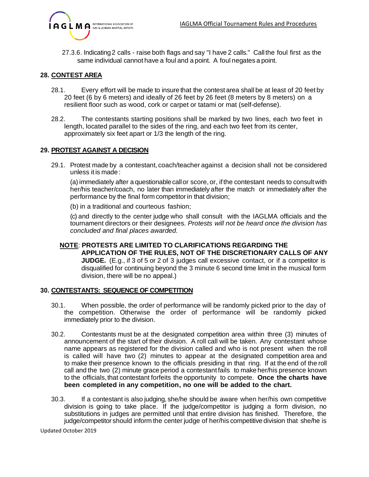

27.3.6. Indicating2 calls - raise both flags and say "I have 2 calls." Call the foul first as the same individual cannot have a foul and a point. A foul negates a point.

#### **28. CONTEST AREA**

- 28.1. Every effort will be made to insure that the contest area shall be at least of 20 feet by 20 feet (6 by 6 meters) and ideally of 26 feet by 26 feet (8 meters by 8 meters) on a resilient floor such as wood, cork or carpet or tatami or mat (self-defense).
- 28.2. The contestants starting positions shall be marked by two lines, each two feet in length, located parallel to the sides of the ring, and each two feet from its center, approximately six feet apart or 1/3 the length of the ring.

#### **29. PROTEST AGAINST A DECISION**

29.1. Protest made by a contestant, coach/teacher against a decision shall not be considered unless it is made :

(a) immediately after a questionablecallor score, or, ifthe contestant needs to consultwith her/his teacher/coach, no later than immediately after the match or immediately after the performance by the final form competitor in that division;

(b) in a traditional and courteous fashion;

(c) and directly to the center judge who shall consult with the IAGLMA officials and the tournament directors or their designees. *Protests will not be heard once the division has concluded and final places awarded.*

#### **NOTE**: **PROTESTS ARE LIMITED TO CLARIFICATIONS REGARDING THE APPLICATION OF THE RULES, NOT OF THE DISCRETIONARY CALLS OF ANY JUDGE.** (E.g., if 3 of 5 or 2 of 3 judges call excessive contact, or if a competitor is disqualified for continuing beyond the 3 minute 6 second time limit in the musical form division, there will be no appeal.)

#### **30. CONTESTANTS: SEQUENCE OF COMPETITION**

- 30.1. When possible, the order of performance will be randomly picked prior to the day of the competition. Otherwise the order of performance will be randomly picked immediately prior to the division.
- 30.2. Contestants must be at the designated competition area within three (3) minutes of announcement of the start of their division. A roll call will be taken. Any contestant whose name appears as registered for the division called and who is not present when the roll is called will have two (2) minutes to appear at the designated competition area and to make their presence known to the officials presiding in that ring. If at the end of the roll call and the two (2) minute grace period a contestant fails to make her/his presence known to the officials,that contestant forfeits the opportunity to compete. **Once the charts have been completed in any competition, no one will be added to the chart.**
- 30.3. If a contestant is also judging, she/he should be aware when her/his own competitive division is going to take place. If the judge/competitor is judging a form division, no substitutions in judges are permitted until that entire division has finished. Therefore, the judge/competitor should inform the center judge of her/his competitive division that she/he is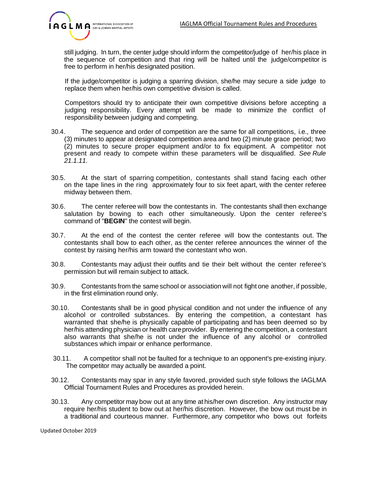

still judging. In turn, the center judge should inform the competitor/judge of her/his place in the sequence of competition and that ring will be halted until the judge/competitor is free to perform in her/his designated position.

If the judge/competitor is judging a sparring division, she/he may secure a side judge to replace them when her/his own competitive division is called.

Competitors should try to anticipate their own competitive divisions before accepting a judging responsibility. Every attempt will be made to minimize the conflict of responsibility between judging and competing.

- 30.4. The sequence and order of competition are the same for all competitions, i.e., three (3) minutes to appear at designated competition area and two (2) minute grace period; two (2) minutes to secure proper equipment and/or to fix equipment. A competitor not present and ready to compete within these parameters will be disqualified. *See Rule 21.1.11.*
- 30.5. At the start of sparring competition, contestants shall stand facing each other on the tape lines in the ring approximately four to six feet apart, with the center referee midway between them.
- 30.6. The center referee will bow the contestants in. The contestants shall then exchange salutation by bowing to each other simultaneously. Upon the center referee's command of "**BEGIN**" the contest will begin.
- 30.7. At the end of the contest the center referee will bow the contestants out. The contestants shall bow to each other, as the center referee announces the winner of the contest by raising her/his arm toward the contestant who won.
- 30.8. Contestants may adjust their outfits and tie their belt without the center referee's permission but will remain subject to attack.
- 30.9. Contestants from the same school or association will not fight one another, if possible, in the first elimination round only.
- 30.10. Contestants shall be in good physical condition and not under the influence of any alcohol or controlled substances. By entering the competition, a contestant has warranted that she/he is physically capable of participating and has been deemed so by her/his attending physician or health careprovider. By entering the competition, a contestant also warrants that she/he is not under the influence of any alcohol or controlled substances which impair or enhance performance.
- 30.11. A competitor shall not be faulted for a technique to an opponent's pre-existing injury. The competitor may actually be awarded a point.
- 30.12. Contestants may spar in any style favored, provided such style follows the IAGLMA Official Tournament Rules and Procedures as provided herein.
- 30.13. Any competitor may bow out at any time at his/her own discretion. Any instructor may require her/his student to bow out at her/his discretion. However, the bow out must be in a traditional and courteous manner. Furthermore, any competitor who bows out forfeits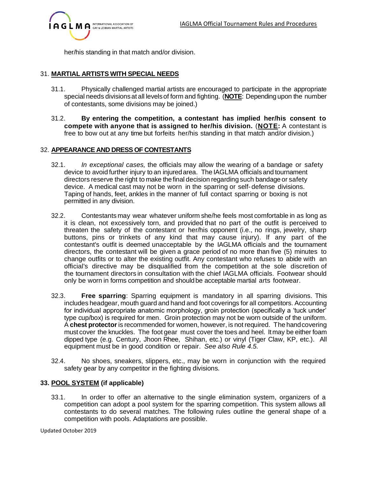

her/his standing in that match and/or division.

# 31. **MARTIAL ARTISTS WITH SPECIAL NEEDS**

- 31.1. Physically challenged martial artists are encouraged to participate in the appropriate special needs divisionsat all levelsof form and fighting. (**NOTE**: Depending upon the number of contestants, some divisions may be joined.)
- 31.2. **By entering the competition, a contestant has implied her/his consent to compete with anyone that is assigned to her/his division.** (**NOTE:** A contestant is free to bow out at any time but forfeits her/his standing in that match and/or division.)

#### 32. **APPEARANCE AND DRESS OF CONTESTANTS**

- 32.1. *In exceptional cases,* the officials may allow the wearing of a bandage or safety device to avoid further injury to an injuredarea. The IAGLMA officials and tournament directors reserve the right to make thefinal decision regarding such bandage or safety device. A medical cast may not be worn in the sparring or self- defense divisions. Taping of hands, feet, ankles in the manner of full contact sparring or boxing is not permitted in any division.
- 32.2. Contestants may wear whatever uniform she/he feels most comfortable in as long as it is clean, not excessively torn, and provided that no part of the outfit is perceived to threaten the safety of the contestant or her/his opponent (i.e., no rings, jewelry, sharp buttons, pins or trinkets of any kind that may cause injury). If any part of the contestant's outfit is deemed unacceptable by the IAGLMA officials and the tournament directors, the contestant will be given a grace period of no more than five (5) minutes to change outfits or to alter the existing outfit. Any contestant who refuses to abide with an official's directive may be disqualified from the competition at the sole discretion of the tournament directors in consultation with the chief IAGLMA officials. Footwear should only be worn in forms competition and shouldbe acceptable martial arts footwear.
- 32.3. **Free sparring**: Sparring equipment is mandatory in all sparring divisions. This includes headgear, mouth guard and hand and foot coverings for all competitors. Accounting for individual appropriate anatomic morphology, groin protection (specifically a 'tuck under' type cup/box) is required for men. Groin protection may not be worn outside of the uniform. A **chest protector**is recommended for women, however, is not required. The handcovering must cover the knuckles. The foot gear must cover the toes and heel. Itmay be either foam dipped type (e.g. Century, Jhoon Rhee, Shihan, etc.) or vinyl (Tiger Claw, KP, etc.). All equipment must be in good condition or repair. *See also Rule 4.5.*
- 32.4. No shoes, sneakers, slippers, etc., may be worn in conjunction with the required safety gear by any competitor in the fighting divisions.

# **33. POOL SYSTEM (if applicable)**

33.1. In order to offer an alternative to the single elimination system, organizers of a competition can adopt a pool system for the sparring competition. This system allows all contestants to do several matches. The following rules outline the general shape of a competition with pools. Adaptations are possible.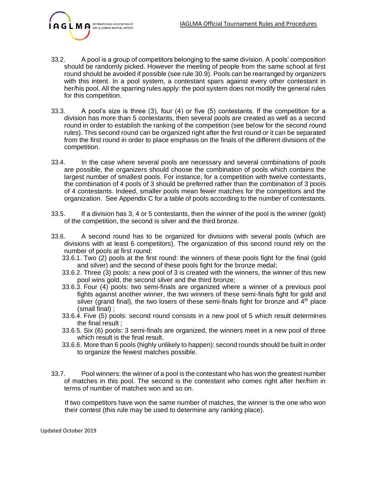

- 33.2. A pool is a group of competitors belonging to the same division. A pools' composition should be randomly picked. However the meeting of people from the same school at first round should be avoided if possible (see rule 30.9). Pools can be rearranged by organizers with this intent. In a pool system, a contestant spars against every other contestant in her/his pool. All the sparring rules apply: the pool system does not modify the general rules for this competition.
- 33.3. A pool's size is three (3), four (4) or five (5) contestants. If the competition for a division has more than 5 contestants, then several pools are created as well as a second round in order to establish the ranking of the competition (see below for the second round rules). This second round can be organized right after the first round or it can be separated from the first round in order to place emphasis on the finals of the different divisions of the competition.
- 33.4. In the case where several pools are necessary and several combinations of pools are possible, the organizers should choose the combination of pools which contains the largest number of smallest pools. For instance, for a competition with twelve contestants, the combination of 4 pools of 3 should be preferred rather than the combination of 3 pools of 4 contestants. Indeed, smaller pools mean fewer matches for the competitors and the organization. See Appendix C for a table of pools according to the number of contestants.
- 33.5. If a division has 3, 4 or 5 contestants, then the winner of the pool is the winner (gold) of the competition, the second is silver and the third bronze.
- 33.6. A second round has to be organized for divisions with several pools (which are divisions with at least 6 competitors). The organization of this second round rely on the number of pools at first round:
	- 33.6.1. Two (2) pools at the first round: the winners of these pools fight for the final (gold and silver) and the second of these pools fight for the bronze medal;
	- 33.6.2. Three (3) pools: a new pool of 3 is created with the winners, the winner of this new pool wins gold, the second silver and the third bronze;
	- 33.6.3. Four (4) pools: two semi-finals are organized where a winner of a previous pool fights against another winner, the two winners of these semi-finals fight for gold and silver (grand final), the two losers of these semi-finals fight for bronze and  $4<sup>th</sup>$  place (small final) ;
	- 33.6.4. Five (5) pools: second round consists in a new pool of 5 which result determines the final result ;
	- 33.6.5. Six (6) pools: 3 semi-finals are organized, the winners meet in a new pool of three which result is the final result.
	- 33.6.6. More than 6 pools (highly unlikely to happen): second rounds should be built in order to organize the fewest matches possible.
- 33.7. Pool winners: the winner of a pool is the contestant who has won the greatest number of matches in this pool. The second is the contestant who comes right after her/him in terms of number of matches won and so on.

If two competitors have won the same number of matches, the winner is the one who won their contest (this rule may be used to determine any ranking place).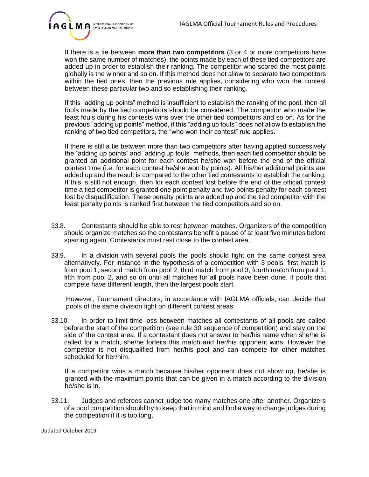

If there is a tie between **more than two competitors** (3 or 4 or more competitors have won the same number of matches), the points made by each of these tied competitors are added up in order to establish their ranking. The competitor who scored the most points globally is the winner and so on. If this method does not allow to separate two competitors within the tied ones, then the previous rule applies, considering who won the contest between these particular two and so establishing their ranking.

If this "adding up points" method is insufficient to establish the ranking of the pool, then all fouls made by the tied competitors should be considered. The competitor who made the least fouls during his contests wins over the other tied competitors and so on. As for the previous "adding up points" method, if this "adding up fouls" does not allow to establish the ranking of two tied competitors, the "who won their contest" rule applies.

If there is still a tie between more than two competitors after having applied successively the "adding up points" and "adding up fouls" methods, then each tied competitor should be granted an additional point for each contest he/she won before the end of the official contest time (i.e. for each contest he/she won by points). All his/her additional points are added up and the result is compared to the other tied contestants to establish the ranking. If this is still not enough, then for each contest lost before the end of the official contest time a tied competitor is granted one point penalty and two points penalty for each contest lost by disqualification. These penalty points are added up and the tied competitor with the least penalty points is ranked first between the tied competitors and so on.

- 33.8. Contestants should be able to rest between matches. Organizers of the competition should organize matches so the contestants benefit a pause of at least five minutes before sparring again. Contestants must rest close to the contest area.
- 33.9. In a division with several pools the pools should fight on the same contest area alternatively. For instance in the hypothesis of a competition with 3 pools, first match is from pool 1, second match from pool 2, third match from pool 3, fourth match from pool 1, fifth from pool 2, and so on until all matches for all pools have been done. If pools that compete have different length, then the largest pools start.

However, Tournament directors, in accordance with IAGLMA officials, can decide that pools of the same division fight on different contest areas.

33.10. In order to limit time loss between matches all contestants of all pools are called before the start of the competition (see rule 30 sequence of competition) and stay on the side of the contest area. If a contestant does not answer to her/his name when she/he is called for a match, she/he forfeits this match and her/his opponent wins. However the competitor is not disqualified from her/his pool and can compete for other matches scheduled for her/him.

If a competitor wins a match because his/her opponent does not show up, he/she is granted with the maximum points that can be given in a match according to the division he/she is in.

33.11. Judges and referees cannot judge too many matches one after another. Organizers of a pool competition should try to keep that in mind and find a way to change judges during the competition if it is too long.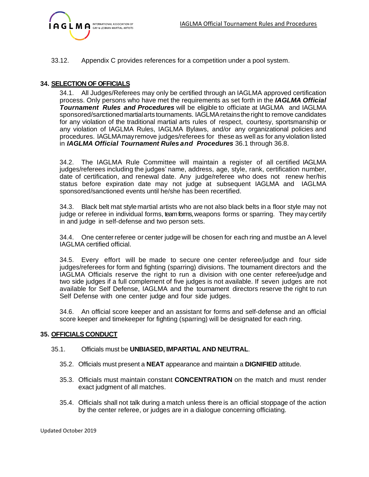

33.12. Appendix C provides references for a competition under a pool system.

### **34. SELECTION OF OFFICIALS**

34.1. All Judges/Referees may only be certified through an IAGLMA approved certification process. Only persons who have met the requirements as set forth in the *IAGLMA Official Tournament Rules and Procedures* will be eligible to officiate at IAGLMA and IAGLMA sponsored/sanctioned martial arts tournaments. IAGLMA retains the right to remove candidates for any violation of the traditional martial arts rules of respect, courtesy, sportsmanship or any violation of IAGLMA Rules, IAGLMA Bylaws, and/or any organizational policies and procedures. IAGLMAmayremove judges/referees for these as well as for any violation listed in *IAGLMA Official Tournament Rules and Procedures* 36.1 through 36.8.

34.2. The IAGLMA Rule Committee will maintain a register of all certified IAGLMA judges/referees including the judges' name, address, age, style, rank, certification number, date of certification, and renewal date. Any judge/referee who does not renew her/his status before expiration date may not judge at subsequent IAGLMA and IAGLMA sponsored/sanctioned events until he/she has been recertified.

34.3. Black belt mat style martial artists who are not also black belts in a floor style may not judge or referee in individual forms, team forms, weapons forms or sparring. They may certify in and judge in self-defense and two person sets.

34.4. One centerreferee or center judge will be chosen for each ring and mustbe an A level IAGLMA certified official.

34.5. Every effort will be made to secure one center referee/judge and four side judges/referees for form and fighting (sparring) divisions. The tournament directors and the IAGLMA Officials reserve the right to run a division with one center referee/judge and two side judges if a full complement of five judges is not available. If seven judges are not available for Self Defense, IAGLMA and the tournament directors reserve the right to run Self Defense with one center judge and four side judges.

34.6. An official score keeper and an assistant for forms and self-defense and an official score keeper and timekeeper for fighting (sparring) will be designated for each ring.

#### **35. OFFICIALS CONDUCT**

#### 35.1. Officials must be **UNBIASED, IMPARTIAL AND NEUTRAL**.

- 35.2. Officials must present a **NEAT** appearance and maintain a **DIGNIFIED** attitude.
- 35.3. Officials must maintain constant **CONCENTRATION** on the match and must render exact judgment of all matches.
- 35.4. Officials shall not talk during a match unless there is an official stoppage of the action by the center referee, or judges are in a dialogue concerning officiating.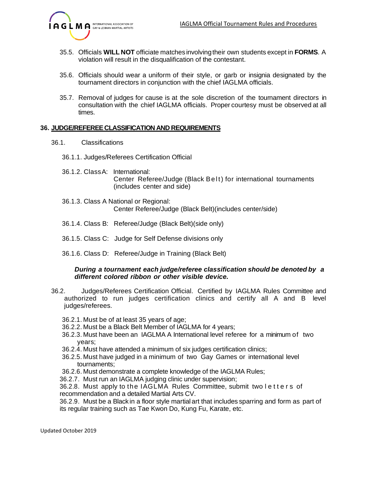

- 35.5. Officials **WILL NOT** officiate matches involvingtheir own students except in **FORMS**. A violation will result in the disqualification of the contestant.
- 35.6. Officials should wear a uniform of their style, or garb or insignia designated by the tournament directors in conjunction with the chief IAGLMA officials.
- 35.7. Removal of judges for cause is at the sole discretion of the tournament directors in consultation with the chief IAGLMA officials. Proper courtesy must be observed at all times.

#### **36. JUDGE/REFEREECLASSIFICATION AND REQUIREMENTS**

- 36.1. Classifications
	- 36.1.1. Judges/Referees Certification Official
	- 36.1.2. ClassA: International: Center Referee/Judge (Black Belt) for international tournaments (includes center and side)
	- 36.1.3. Class A National or Regional: Center Referee/Judge (Black Belt)(includes center/side)
	- 36.1.4. Class B: Referee/Judge (Black Belt)(side only)
	- 36.1.5. Class C: Judge for Self Defense divisions only
	- 36.1.6. Class D: Referee/Judge in Training (Black Belt)

#### *During a tournament each judge/referee classification should be denoted by a different colored ribbon or other visible device.*

- 36.2. Judges/Referees Certification Official. Certified by IAGLMA Rules Committee and authorized to run judges certification clinics and certify all A and B level judges/referees.
	- 36.2.1. Must be of at least 35 years of age;
	- 36.2.2. Must be a Black Belt Member of IAGLMA for 4 years;
	- 36.2.3. Must have been an IAGLMA A International level referee for a minimum of two years;
	- 36.2.4. Must have attended a minimum of six judges certification clinics;
	- 36.2.5. Must have judged in a minimum of two Gay Games or international level tournaments;
	- 36.2.6. Must demonstrate a complete knowledge of the IAGLMA Rules;
	- 36.2.7. Must run an IAGLMA judging clinic under supervision;

36.2.8. Must apply to the IAGLMA Rules Committee, submit two letters of recommendation and a detailed Martial Arts CV.

36.2.9. Must be a Black in a floor style martial art that includes sparring and form as part of its regular training such as Tae Kwon Do, Kung Fu, Karate, etc.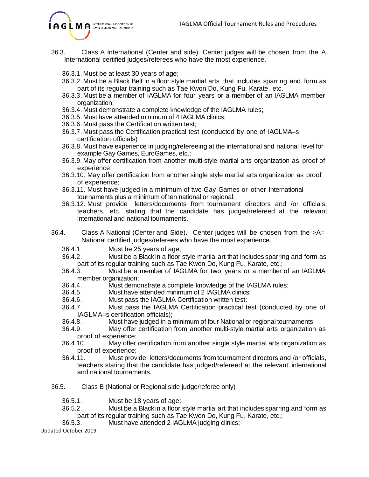

- 36.3. Class A International (Center and side). Center judges will be chosen from the A International certified judges/referees who have the most experience.
	- 36.3.1. Must be at least 30 years of age;
	- 36.3.2. Must be a Black Belt in a floor style martial arts that includes sparring and form as part of its regular training such as Tae Kwon Do, Kung Fu, Karate, etc.
	- 36.3.3. Must be a member of IAGLMA for four years or a member of an IAGLMA member organization;
	- 36.3.4. Must demonstrate a complete knowledge of the IAGLMA rules;
	- 36.3.5. Must have attended minimum of 4 IAGLMA clinics;
	- 36.3.6. Must pass the Certification written test;
	- 36.3.7. Must pass the Certification practical test (conducted by one of IAGLMA=s certification officials)
	- 36.3.8. Must have experience in judging/refereeing at the international and national level for example Gay Games, EuroGames, etc.;
	- 36.3.9. May offer certification from another multi-style martial arts organization as proof of experience;
	- 36.3.10. May offer certification from another single style martial arts organization as proof of experience;
	- 36.3.11. Must have judged in a minimum of two Gay Games or other International tournaments plus a minimum of ten national or regional;
	- 36.3.12. Must provide letters/documents from tournament directors and /or officials, teachers, etc. stating that the candidate has judged/refereed at the relevant international and national tournaments.
- 36.4. Class A National (Center and Side). Center judges will be chosen from the  $>A=$ National certified judges/referees who have the most experience.
	- 36.4.1. Must be 25 years of age;
	- 36.4.2. Must be a Black in a floor style martial art that includes sparring and form as part of its regular training such as Tae Kwon Do, Kung Fu, Karate, etc.;
	- 36.4.3. Must be a member of IAGLMA for two years or a member of an IAGLMA member organization;
	- 36.4.4. Must demonstrate a complete knowledge of the IAGLMA rules;
	- 36.4.5. Must have attended minimum of 2 IAGLMA clinics;
	- 36.4.6. Must pass the IAGLMA Certification written test;
	- 36.4.7. Must pass the IAGLMA Certification practical test (conducted by one of IAGLMA=s certification officials);
	- 36.4.8. Must have judged in a minimum of four National or regional tournaments;
	- 36.4.9. May offer certification from another multi-style martial arts organization as proof of experience;
	- 36.4.10. May offer certification from another single style martial arts organization as proof of experience;
	- 36.4.11. Must provide letters/documents from tournament directors and /or officials, teachers stating that the candidate has judged/refereed at the relevant international and national tournaments.
- 36.5. Class B (National or Regional side judge/referee only)
	- 36.5.1. Must be 18 years of age;
	- 36.5.2. Must be a Black in a floor style martial art that includes sparring and form as part of its regular training such as Tae Kwon Do, Kung Fu, Karate, etc.;<br>36.5.3. Must have attended 2 IAGLMA iudaing clinics:
		- Must have attended 2 IAGLMA judging clinics;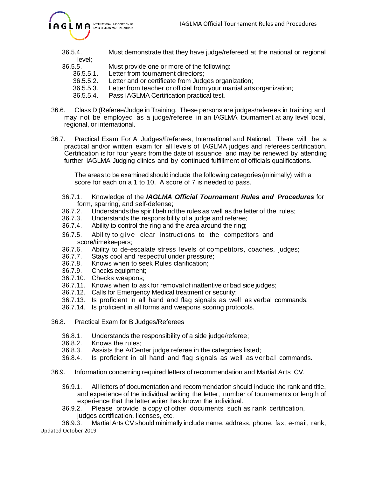

- 36.5.4. Must demonstrate that they have judge/refereed at the national or regional
- level;<br>.36.5.5 Must provide one or more of the following: 36.5.5.1. Letter from tournament directors;
	- 36.5.5.2. Letter and or certificate from Judges organization;
	- 36.5.5.3. Letter from teacher or official from your martial artsorganization;
	- 36.5.5.4. Pass IAGLMA Certification practical test.
- 36.6. Class D (Referee/Judge in Training. These persons are judges/referees in training and may not be employed as a judge/referee in an IAGLMA tournament at any level local, regional, or international.
- 36.7. Practical Exam For A Judges/Referees, International and National. There will be a practical and/or written exam for all levels of IAGLMA judges and referees certification. Certification is for four years from the date of issuance and may be renewed by attending further IAGLMA Judging clinics and by continued fulfillment of officials qualifications.

The areas to be examined should include the following categories (minimally) with a score for each on a 1 to 10. A score of 7 is needed to pass.

- 36.7.1. Knowledge of the *IAGLMA Official Tournament Rules and Procedures* for form, sparring, and self-defense;
- 36.7.2. Understands the spirit behind the rules as well as the letter of the rules;<br>36.7.3. Understands the responsibility of a judge and referee:
- 36.7.3. Understands the responsibility of a judge and referee;<br>36.7.4. Ability to control the ring and the area around the ring:
- Ability to control the ring and the area around the ring;
- 36.7.5. Ability to give clear instructions to the competitors and score/timekeepers;
- 36.7.6. Ability to de-escalate stress levels of competitors, coaches, judges;
- 36.7.7. Stays cool and respectful under pressure;
- 36.7.8. Knows when to seek Rules clarification;
- 36.7.9. Checks equipment;
- 36.7.10. Checks weapons;
- 36.7.11. Knows when to ask for removal of inattentive or bad side judges;
- 36.7.12. Calls for Emergency Medical treatment or security;
- 36.7.13. Is proficient in all hand and flag signals as well as verbal commands;
- 36.7.14. Is proficient in all forms and weapons scoring protocols.
- 36.8. Practical Exam for B Judges/Referees
	- 36.8.1. Understands the responsibility of a side judge/referee;
	- 36.8.2. Knows the rules;
	- 36.8.3. Assists the A/Center judge referee in the categories listed;
	- 36.8.4. Is proficient in all hand and flag signals as well as verbal commands.
- 36.9. Information concerning required letters of recommendation and Martial Arts CV.
	- 36.9.1. All letters of documentation and recommendation should include the rank and title, and experience of the individual writing the letter, number of tournaments or length of experience that the letter writer has known the individual.
	- 36.9.2. Please provide a copy of other documents such as rank certification, judges certification, licenses, etc.

Updated October 2019 36.9.3. Martial Arts CV should minimally include name, address, phone, fax, e-mail, rank,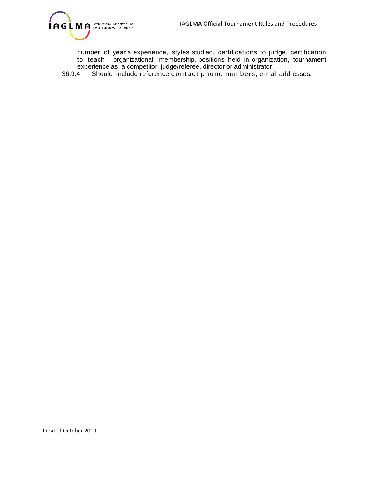

number of year's experience, styles studied, certifications to judge, certification to teach, organizational membership, positions held in organization, tournament experience as a competitor, judge/referee, director or administrator.

36.9.4. Should include reference con ta ct pho ne numbers, e-mail addresses.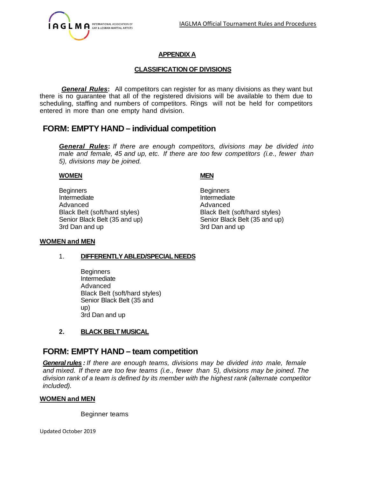

# **APPENDIX A**

### **CLASSIFICATION OF DIVISIONS**

*General Rules***:** All competitors can register for as many divisions as they want but there is no guarantee that all of the registered divisions will be available to them due to scheduling, staffing and numbers of competitors. Rings will not be held for competitors entered in more than one empty hand division.

# **FORM: EMPTY HAND – individual competition**

*General Rules***:** *If there are enough competitors, divisions may be divided into male and female, 45 and up, etc. If there are too few competitors (i.e., fewer than 5), divisions may be joined.*

#### **WOMEN MEN**

Beginners **Beginners** Intermediate **Intermediate** Advanced Advanced Advanced Advanced Advanced Advanced Advanced Advanced Advanced Advanced Advanced Advanced Advanced Advanced Advanced Advanced Advanced Advanced Advanced Advanced Advanced Advanced Advanced Advanced Advanc Black Belt (soft/hard styles) Black Belt (soft/hard styles) Senior Black Belt (35 and up) Senior Black Belt (35 and up) 3rd Dan and up 3rd Dan and up

#### **WOMEN and MEN**

#### 1. **DIFFERENTLYABLED/SPECIALNEEDS**

**Beginners** Intermediate Advanced Black Belt (soft/hard styles) Senior Black Belt (35 and up) 3rd Dan and up

# **2. BLACK BELT MUSICAL**

# **FORM: EMPTY HAND – team competition**

*General rules : If there are enough teams, divisions may be divided into male, female and mixed. If there are too few teams (i.e., fewer than 5), divisions may be joined. The division rank of a team is defined by its member with the highest rank (alternate competitor included).*

#### **WOMEN and MEN**

Beginner teams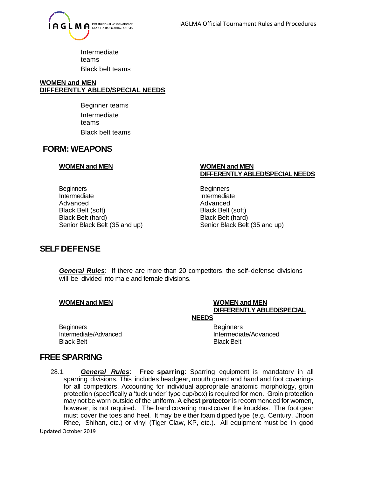

Intermediate teams Black belt teams

#### **WOMEN and MEN DIFFERENTLY ABLED/SPECIAL NEEDS**

Beginner teams Intermediate teams Black belt teams

# **FORM: WEAPONS**

#### **WOMEN and MEN WOMEN and MEN**

Beginners **Beginners** Intermediate **Intermediate** Advanced Advanced Advanced Advanced Advanced Advanced Advanced Advanced Advanced Advanced Advanced A Black Belt (soft) Black Belt (soft) Black Belt (hard) Black Belt (hard) Senior Black Belt (35 and up) Senior Black Belt (35 and up)

# **DIFFERENTLYABLED/SPECIALNEEDS**

# **SELFDEFENSE**

*General Rules*: If there are more than 20 competitors, the self- defense divisions will be divided into male and female divisions.

#### **WOMEN and MEN WOMEN and MEN**

#### **DIFFERENTLY ABLED/SPECIAL NEEDS**

Beginners **Beginners** Black Belt Black Belt Black Belt Black Belt Black Belt Black Belt Black Belt Black Belt

Intermediate/Advanced Intermediate/Advanced

# **FREE SPARRING**

28.1. *General Rules*: **Free sparring**: Sparring equipment is mandatory in all sparring divisions. This includes headgear, mouth guard and hand and foot coverings for all competitors. Accounting for individual appropriate anatomic morphology, groin protection (specifically a 'tuck under' type cup/box) is required for men. Groin protection may not be worn outside of the uniform. A **chest protector** is recommended for women, however, is not required. The hand covering must cover the knuckles. The foot gear must cover the toes and heel. It may be either foam dipped type (e.g. Century, Jhoon Rhee, Shihan, etc.) or vinyl (Tiger Claw, KP, etc.). All equipment must be in good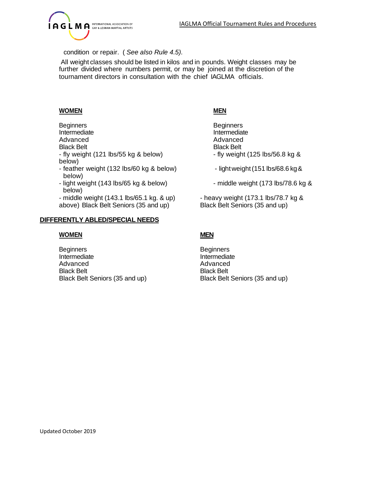

condition or repair. ( *See also Rule 4.5).*

All weight classes should be listed in kilos and in pounds. Weight classes may be further divided where numbers permit, or may be joined at the discretion of the tournament directors in consultation with the chief IAGLMA officials.

### **WOMEN MEN**

Beginners Beginners Advanced Advanced **Black Belt** - fly weight (121 lbs/55 kg & below)  $-$  fly weight (125 lbs/56.8 kg & below)

- feather weight (132 lbs/60 kg & below) light weight (151 lbs/68.6 kg & below)
- light weight (143 lbs/65 kg & below) middle weight (173 lbs/78.6 kg & below)
- middle weight (143.1 lbs/65.1 kg. & up) heavy weight (173.1 lbs/78.7 kg & above) Black Belt Seniors (35 and up) Black Belt Seniors (35 and up)

#### **DIFFERENTLY ABLED/SPECIAL NEEDS**

#### **WOMEN MEN**

Beginners **Beginners** Intermediate **Intermediate** Advanced Advanced Advanced Advanced Advanced Advanced Advanced Advanced Advanced Advanced Advanced Advanced Advanced Advanced Advanced Advanced Advanced Advanced Advanced Advanced Advanced Advanced Advanced Advanced Advanc Black Belt **Black Belt** Black Belt Seniors (35 and up) Black Belt Seniors (35 and up)

- Intermediate
- 
- 
-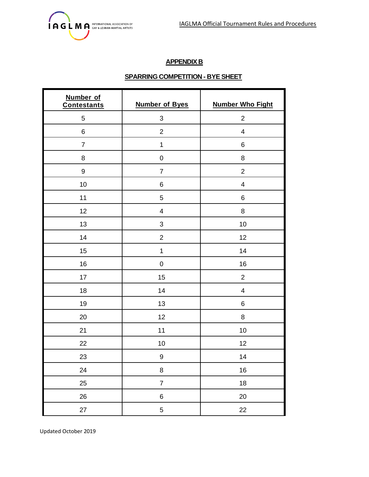

# **APPENDIX B**

# **SPARRING COMPETITION - BYE SHEET**

| Number of<br><b>Contestants</b> | <b>Number of Byes</b>     | <b>Number Who Fight</b> |  |
|---------------------------------|---------------------------|-------------------------|--|
| 5                               | $\ensuremath{\mathsf{3}}$ | $\mathbf{2}$            |  |
| 6                               | $\mathbf 2$               | $\overline{\mathbf{4}}$ |  |
| $\overline{7}$                  | $\mathbf 1$               | 6                       |  |
| 8                               | $\pmb{0}$                 | 8                       |  |
| $\boldsymbol{9}$                | $\overline{7}$            | $\overline{2}$          |  |
| 10                              | 6                         | $\overline{\mathbf{4}}$ |  |
| 11                              | $\sqrt{5}$                | 6                       |  |
| 12                              | $\overline{\mathbf{4}}$   | 8                       |  |
| 13                              | $\ensuremath{\mathsf{3}}$ | 10                      |  |
| 14                              | $\overline{2}$            | 12                      |  |
| 15                              | $\mathbf 1$               | 14                      |  |
| 16                              | $\pmb{0}$                 | 16                      |  |
| 17                              | 15                        | $\overline{2}$          |  |
| 18                              | 14                        | $\overline{\mathbf{4}}$ |  |
| 19                              | 13                        | 6                       |  |
| 20                              | 12                        | 8                       |  |
| 21                              | 11                        | $10$                    |  |
| 22                              | 10                        | 12                      |  |
| 23                              | $\boldsymbol{9}$          | 14                      |  |
| 24                              | $\bf 8$                   | 16                      |  |
| 25                              | $\overline{7}$            | $18$                    |  |
| 26                              | $\,6$                     | 20                      |  |
| 27                              | $\mathbf 5$               | 22                      |  |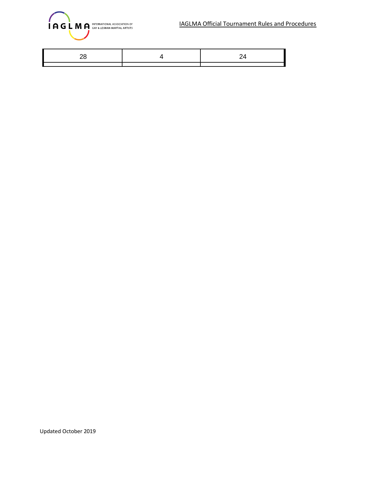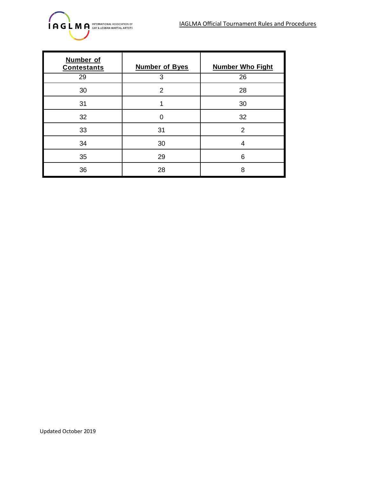

| Number of<br><b>Contestants</b> | <b>Number of Byes</b> | <b>Number Who Fight</b> |
|---------------------------------|-----------------------|-------------------------|
| 29                              | 3                     | 26                      |
| 30                              | $\overline{2}$        | 28                      |
| 31                              |                       | 30                      |
| 32                              |                       | 32                      |
| 33                              | 31                    | $\mathcal{P}$           |
| 34                              | 30                    | 4                       |
| 35                              | 29                    | 6                       |
| 36                              | 28                    | 8                       |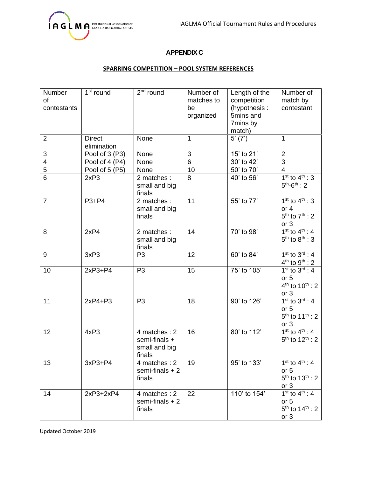

# **APPENDIX C**

#### **SPARRING COMPETITION – POOL SYSTEM REFERENCES**

| Number<br><b>of</b><br>contestants | 1 <sup>st</sup> round        | $2nd$ round                                              | Number of<br>matches to<br>be<br>organized | Length of the<br>competition<br>(hypothesis:<br>5mins and<br>7mins by<br>match) | Number of<br>match by<br>contestant                                                     |
|------------------------------------|------------------------------|----------------------------------------------------------|--------------------------------------------|---------------------------------------------------------------------------------|-----------------------------------------------------------------------------------------|
| $\overline{2}$                     | <b>Direct</b><br>elimination | None                                                     | $\mathbf{1}$                               | 5'(7')                                                                          | $\mathbf{1}$                                                                            |
| $\ensuremath{\mathsf{3}}$          | Pool of 3 (P3)               | None                                                     | 3                                          | 15' to 21'                                                                      | $\overline{2}$                                                                          |
| $\frac{4}{5}$                      | Pool of 4 (P4)               | None                                                     | 6                                          | 30' to 42'                                                                      | $\mathfrak{B}$                                                                          |
|                                    | Pool of 5 (P5)               | None                                                     | 10                                         | 50' to 70'                                                                      | $\overline{4}$                                                                          |
| $\overline{6}$                     | 2xP3                         | 2 matches :<br>small and big<br>finals                   | 8                                          | 40' to 56'                                                                      | $1^{st}$ to $4^{th}$ : 3<br>$5^{th} - 6^{th}$ : 2                                       |
| $\overline{7}$                     | $P3+P4$                      | 2 matches :<br>small and big<br>finals                   | 11                                         | 55' to 77'                                                                      | $1^{st}$ to $4^{th}$ : 3<br>or 4<br>$5^{th}$ to $7^{th}$ : 2<br>or $3$                  |
| 8                                  | 2xP4                         | 2 matches :<br>small and big<br>finals                   | 14                                         | 70' to 98'                                                                      | $1st$ to $4th$ : 4<br>$5th$ to $8th$ : 3                                                |
| 9                                  | 3xP3                         | P <sub>3</sub>                                           | 12                                         | 60' to 84'                                                                      | $1st$ to $3rd$ : 4<br>$4^{th}$ to $9^{th}$ : 2                                          |
| 10                                 | $2xP3+P4$                    | P <sub>3</sub>                                           | 15                                         | 75' to 105'                                                                     | $1st$ to $3rd : 4$<br>or <sub>5</sub><br>$4^{th}$ to $10^{th}$ : 2<br>or 3              |
| 11                                 | $2xP4+P3$                    | P <sub>3</sub>                                           | 18                                         | 90' to 126'                                                                     | $1st$ to $3rd$ : 4<br>or 5<br>$5^{th}$ to 11 <sup>th</sup> : 2<br>or 3                  |
| 12                                 | 4xP3                         | 4 matches: 2<br>semi-finals +<br>small and big<br>finals | 16                                         | 80' to 112'                                                                     | $1^{st}$ to $4^{th}$ : 4<br>$5^{th}$ to $12^{th}$ : 2                                   |
| 13                                 | $3xP3+P4$                    | 4 matches : 2<br>semi-finals $+2$<br>finals              | 19                                         | 95' to 133'                                                                     | 1 <sup>st</sup> to $4^{th}$ : 4<br>or 5<br>$5^{th}$ to $13^{th}$ : 2<br>or $3$          |
| 14                                 | 2xP3+2xP4                    | 4 matches : 2<br>semi-finals $+2$<br>finals              | 22                                         | 110' to 154'                                                                    | 1 <sup>st</sup> to $4^{th}$ : 4<br>or 5<br>$5^{th}$ to $14^{th}$ : 2<br>or <sub>3</sub> |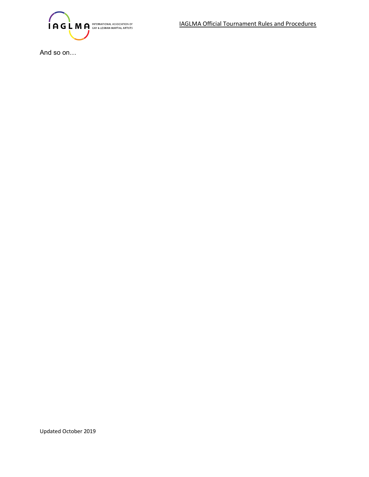

And so on…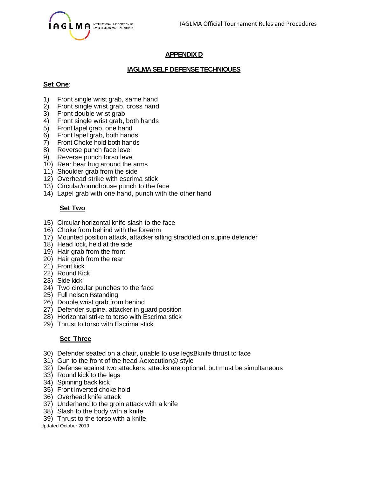

# **APPENDIX D**

# **IAGLMA SELF DEFENSETECHNIQUES**

#### **Set One**:

- 1) Front single wrist grab, same hand
- 2) Front single wrist grab, cross hand
- 3) Front double wrist grab
- 4) Front single wrist grab, both hands
- 5) Front lapel grab, one hand
- 6) Front lapel grab, both hands
- Front Choke hold both hands
- 8) Reverse punch face level
- 9) Reverse punch torso level
- 10) Rear bear hug around the arms
- 11) Shoulder grab from the side
- 12) Overhead strike with escrima stick
- 13) Circular/roundhouse punch to the face
- 14) Lapel grab with one hand, punch with the other hand

# **Set Two**

- 15) Circular horizontal knife slash to the face
- 16) Choke from behind with the forearm
- 17) Mounted position attack, attacker sitting straddled on supine defender
- 18) Head lock, held at the side
- 19) Hair grab from the front
- 20) Hair grab from the rear
- 21) Front kick
- 22) Round Kick
- 23) Side kick
- 24) Two circular punches to the face
- 25) Full nelson Bstanding
- 26) Double wrist grab from behind
- 27) Defender supine, attacker in guard position
- 28) Horizontal strike to torso with Escrima stick
- 29) Thrust to torso with Escrima stick

# **Set Three**

- 30) Defender seated on a chair, unable to use legsBknife thrust to face
- 31) Gun to the front of the head Aexecution@ style
- 32) Defense against two attackers, attacks are optional, but must be simultaneous
- 33) Round kick to the legs
- 34) Spinning back kick
- 35) Front inverted choke hold
- 36) Overhead knife attack
- 37) Underhand to the groin attack with a knife
- 38) Slash to the body with a knife
- 39) Thrust to the torso with a knife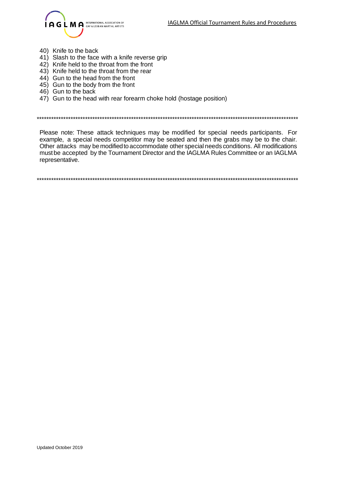

- 40) Knife to the back
- 41) Slash to the face with a knife reverse grip
- 42) Knife held to the throat from the front
- 43) Knife held to the throat from the rear
- 44) Gun to the head from the front
- 45) Gun to the body from the front
- 46) Gun to the back
- 47) Gun to the head with rear forearm choke hold (hostage position)

\*\*\*\*\*\*\*\*\*\*\*\*\*\*\*\*\*\*\*\*\*\*\*\*\*\*\*\*\*\*\*\*\*\*\*\*\*\*\*\*\*\*\*\*\*\*\*\*\*\*\*\*\*\*\*\*\*\*\*\*\*\*\*\*\*\*\*\*\*\*\*\*\*\*\*\*\*\*\*\*\*\*\*\*\*\*\*\*\*\*\*\*\*\*\*\*\*\*\*\*\*\*\*\*\*\*\*\*

Please note: These attack techniques may be modified for special needs participants. For example, a special needs competitor may be seated and then the grabs may be to the chair. Other attacks may be modifiedto accommodate other special needs conditions. All modifications mustbe accepted by the Tournament Director and the IAGLMA Rules Committee or an IAGLMA representative.

\*\*\*\*\*\*\*\*\*\*\*\*\*\*\*\*\*\*\*\*\*\*\*\*\*\*\*\*\*\*\*\*\*\*\*\*\*\*\*\*\*\*\*\*\*\*\*\*\*\*\*\*\*\*\*\*\*\*\*\*\*\*\*\*\*\*\*\*\*\*\*\*\*\*\*\*\*\*\*\*\*\*\*\*\*\*\*\*\*\*\*\*\*\*\*\*\*\*\*\*\*\*\*\*\*\*\*\*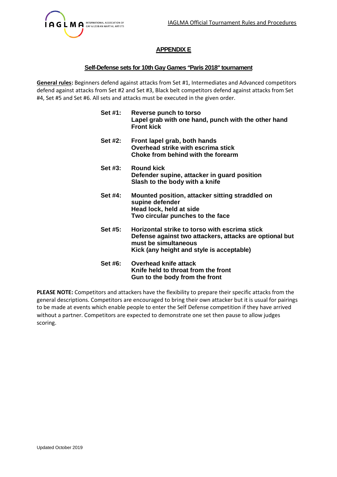

# **APPENDIX E**

#### **Self-Defense sets for 10th Gay Games "Paris 2018" tournament**

**General rules:** Beginners defend against attacks from Set #1, Intermediates and Advanced competitors defend against attacks from Set #2 and Set #3, Black belt competitors defend against attacks from Set #4, Set #5 and Set #6. All sets and attacks must be executed in the given order.

| Set #1:    | Reverse punch to torso<br>Lapel grab with one hand, punch with the other hand<br><b>Front kick</b>                                                                            |
|------------|-------------------------------------------------------------------------------------------------------------------------------------------------------------------------------|
| Set #2:    | Front lapel grab, both hands<br>Overhead strike with escrima stick<br>Choke from behind with the forearm                                                                      |
| Set $#3$ : | <b>Round kick</b><br>Defender supine, attacker in guard position<br>Slash to the body with a knife                                                                            |
| Set #4:    | Mounted position, attacker sitting straddled on<br>supine defender<br>Head lock, held at side<br>Two circular punches to the face                                             |
| Set #5:    | Horizontal strike to torso with escrima stick<br>Defense against two attackers, attacks are optional but<br>must be simultaneous<br>Kick (any height and style is acceptable) |
| Set #6:    | Overhead knife attack<br>Knife held to throat from the front<br>Gun to the body from the front                                                                                |

**PLEASE NOTE:** Competitors and attackers have the flexibility to prepare their specific attacks from the general descriptions. Competitors are encouraged to bring their own attacker but it is usual for pairings to be made at events which enable people to enter the Self Defense competition if they have arrived without a partner. Competitors are expected to demonstrate one set then pause to allow judges scoring.